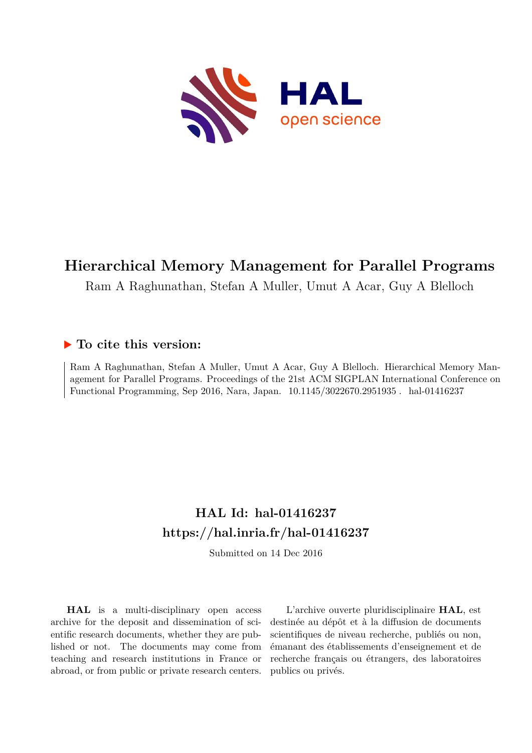

# **Hierarchical Memory Management for Parallel Programs**

Ram A Raghunathan, Stefan A Muller, Umut A Acar, Guy A Blelloch

# **To cite this version:**

Ram A Raghunathan, Stefan A Muller, Umut A Acar, Guy A Blelloch. Hierarchical Memory Management for Parallel Programs. Proceedings of the 21st ACM SIGPLAN International Conference on Functional Programming, Sep 2016, Nara, Japan.  $10.1145/3022670.2951935$ . hal-01416237

# **HAL Id: hal-01416237 <https://hal.inria.fr/hal-01416237>**

Submitted on 14 Dec 2016

**HAL** is a multi-disciplinary open access archive for the deposit and dissemination of scientific research documents, whether they are published or not. The documents may come from teaching and research institutions in France or abroad, or from public or private research centers.

L'archive ouverte pluridisciplinaire **HAL**, est destinée au dépôt et à la diffusion de documents scientifiques de niveau recherche, publiés ou non, émanant des établissements d'enseignement et de recherche français ou étrangers, des laboratoires publics ou privés.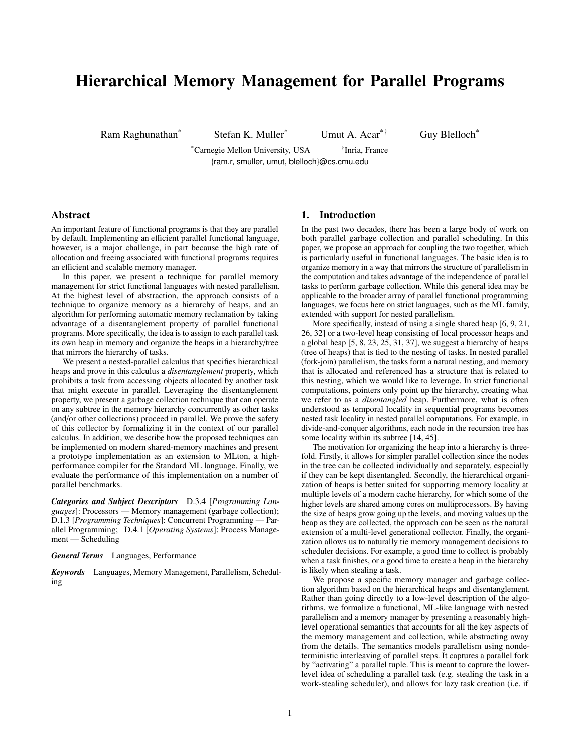# Hierarchical Memory Management for Parallel Programs

Ram Raghunathan<sup>\*</sup> Stefan K. Muller<sup>\*</sup> Umut A. Acar<sup>\*†</sup> Guy Blelloch<sup>\*</sup>

\*Carnegie Mellon University, USA † <sup>†</sup>Inria, France {ram.r, smuller, umut, blelloch}@cs.cmu.edu

### Abstract

An important feature of functional programs is that they are parallel by default. Implementing an efficient parallel functional language, however, is a major challenge, in part because the high rate of allocation and freeing associated with functional programs requires an efficient and scalable memory manager.

In this paper, we present a technique for parallel memory management for strict functional languages with nested parallelism. At the highest level of abstraction, the approach consists of a technique to organize memory as a hierarchy of heaps, and an algorithm for performing automatic memory reclamation by taking advantage of a disentanglement property of parallel functional programs. More specifically, the idea is to assign to each parallel task its own heap in memory and organize the heaps in a hierarchy/tree that mirrors the hierarchy of tasks.

We present a nested-parallel calculus that specifies hierarchical heaps and prove in this calculus a *disentanglement* property, which prohibits a task from accessing objects allocated by another task that might execute in parallel. Leveraging the disentanglement property, we present a garbage collection technique that can operate on any subtree in the memory hierarchy concurrently as other tasks (and/or other collections) proceed in parallel. We prove the safety of this collector by formalizing it in the context of our parallel calculus. In addition, we describe how the proposed techniques can be implemented on modern shared-memory machines and present a prototype implementation as an extension to MLton, a highperformance compiler for the Standard ML language. Finally, we evaluate the performance of this implementation on a number of parallel benchmarks.

*Categories and Subject Descriptors* D.3.4 [*Programming Languages*]: Processors — Memory management (garbage collection); D.1.3 [*Programming Techniques*]: Concurrent Programming — Parallel Programming; D.4.1 [*Operating Systems*]: Process Management — Scheduling

*General Terms* Languages, Performance

*Keywords* Languages, Memory Management, Parallelism, Scheduling

### 1. Introduction

In the past two decades, there has been a large body of work on both parallel garbage collection and parallel scheduling. In this paper, we propose an approach for coupling the two together, which is particularly useful in functional languages. The basic idea is to organize memory in a way that mirrors the structure of parallelism in the computation and takes advantage of the independence of parallel tasks to perform garbage collection. While this general idea may be applicable to the broader array of parallel functional programming languages, we focus here on strict languages, such as the ML family, extended with support for nested parallelism.

More specifically, instead of using a single shared heap [6, 9, 21, 26, 32] or a two-level heap consisting of local processor heaps and a global heap [5, 8, 23, 25, 31, 37], we suggest a hierarchy of heaps (tree of heaps) that is tied to the nesting of tasks. In nested parallel (fork-join) parallelism, the tasks form a natural nesting, and memory that is allocated and referenced has a structure that is related to this nesting, which we would like to leverage. In strict functional computations, pointers only point up the hierarchy, creating what we refer to as a *disentangled* heap. Furthermore, what is often understood as temporal locality in sequential programs becomes nested task locality in nested parallel computations. For example, in divide-and-conquer algorithms, each node in the recursion tree has some locality within its subtree [14, 45].

The motivation for organizing the heap into a hierarchy is threefold. Firstly, it allows for simpler parallel collection since the nodes in the tree can be collected individually and separately, especially if they can be kept disentangled. Secondly, the hierarchical organization of heaps is better suited for supporting memory locality at multiple levels of a modern cache hierarchy, for which some of the higher levels are shared among cores on multiprocessors. By having the size of heaps grow going up the levels, and moving values up the heap as they are collected, the approach can be seen as the natural extension of a multi-level generational collector. Finally, the organization allows us to naturally tie memory management decisions to scheduler decisions. For example, a good time to collect is probably when a task finishes, or a good time to create a heap in the hierarchy is likely when stealing a task.

We propose a specific memory manager and garbage collection algorithm based on the hierarchical heaps and disentanglement. Rather than going directly to a low-level description of the algorithms, we formalize a functional, ML-like language with nested parallelism and a memory manager by presenting a reasonably highlevel operational semantics that accounts for all the key aspects of the memory management and collection, while abstracting away from the details. The semantics models parallelism using nondeterministic interleaving of parallel steps. It captures a parallel fork by "activating" a parallel tuple. This is meant to capture the lowerlevel idea of scheduling a parallel task (e.g. stealing the task in a work-stealing scheduler), and allows for lazy task creation (i.e. if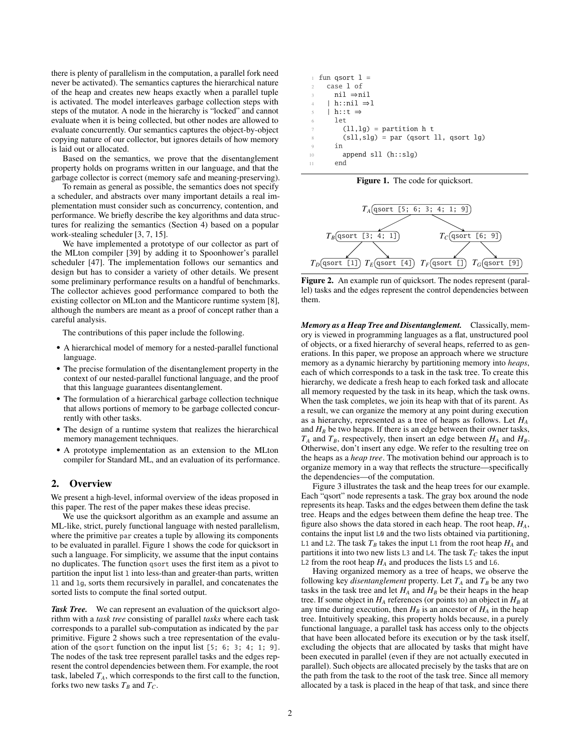there is plenty of parallelism in the computation, a parallel fork need never be activated). The semantics captures the hierarchical nature of the heap and creates new heaps exactly when a parallel tuple is activated. The model interleaves garbage collection steps with steps of the mutator. A node in the hierarchy is "locked" and cannot evaluate when it is being collected, but other nodes are allowed to evaluate concurrently. Our semantics captures the object-by-object copying nature of our collector, but ignores details of how memory is laid out or allocated.

Based on the semantics, we prove that the disentanglement property holds on programs written in our language, and that the garbage collector is correct (memory safe and meaning-preserving).

To remain as general as possible, the semantics does not specify a scheduler, and abstracts over many important details a real implementation must consider such as concurrency, contention, and performance. We briefly describe the key algorithms and data structures for realizing the semantics (Section 4) based on a popular work-stealing scheduler [3, 7, 15].

We have implemented a prototype of our collector as part of the MLton compiler [39] by adding it to Spoonhower's parallel scheduler [47]. The implementation follows our semantics and design but has to consider a variety of other details. We present some preliminary performance results on a handful of benchmarks. The collector achieves good performance compared to both the existing collector on MLton and the Manticore runtime system [8], although the numbers are meant as a proof of concept rather than a careful analysis.

The contributions of this paper include the following.

- A hierarchical model of memory for a nested-parallel functional language.
- The precise formulation of the disentanglement property in the context of our nested-parallel functional language, and the proof that this language guarantees disentanglement.
- The formulation of a hierarchical garbage collection technique that allows portions of memory to be garbage collected concurrently with other tasks.
- The design of a runtime system that realizes the hierarchical memory management techniques.
- A prototype implementation as an extension to the MLton compiler for Standard ML, and an evaluation of its performance.

## 2. Overview

We present a high-level, informal overview of the ideas proposed in this paper. The rest of the paper makes these ideas precise.

We use the quicksort algorithm as an example and assume an ML-like, strict, purely functional language with nested parallelism, where the primitive par creates a tuple by allowing its components to be evaluated in parallel. Figure 1 shows the code for quicksort in such a language. For simplicity, we assume that the input contains no duplicates. The function qsort uses the first item as a pivot to partition the input list l into less-than and greater-than parts, written ll and lg, sorts them recursively in parallel, and concatenates the sorted lists to compute the final sorted output.

*Task Tree.* We can represent an evaluation of the quicksort algorithm with a *task tree* consisting of parallel *tasks* where each task corresponds to a parallel sub-computation as indicated by the par primitive. Figure 2 shows such a tree representation of the evaluation of the qsort function on the input list [5; 6; 3; 4; 1; 9]. The nodes of the task tree represent parallel tasks and the edges represent the control dependencies between them. For example, the root task, labeled  $T_A$ , which corresponds to the first call to the function, forks two new tasks  $T_B$  and  $T_C$ .

|                | fun qsort $l =$                                |
|----------------|------------------------------------------------|
| $\mathcal{D}$  | case 1 of                                      |
| 3              | $ni1 \Rightarrow ni1$                          |
|                | h::nil ⇒l                                      |
| $\overline{5}$ | $h$ ::t $\Rightarrow$                          |
| 6              | let                                            |
| $\tau$         | $(11, 1g)$ = partition h t                     |
| 8              | $(sll, slq) = par$ (gsort $ll, q$ gsort $lq$ ) |
| 9              | in                                             |
| 10             | append $sll$ (h:: $slq$ )                      |
|                | end                                            |

Figure 1. The code for quicksort.



Figure 2. An example run of quicksort. The nodes represent (parallel) tasks and the edges represent the control dependencies between them.

*Memory as a Heap Tree and Disentanglement.* Classically, memory is viewed in programming languages as a flat, unstructured pool of objects, or a fixed hierarchy of several heaps, referred to as generations. In this paper, we propose an approach where we structure memory as a dynamic hierarchy by partitioning memory into *heaps*, each of which corresponds to a task in the task tree. To create this hierarchy, we dedicate a fresh heap to each forked task and allocate all memory requested by the task in its heap, which the task owns. When the task completes, we join its heap with that of its parent. As a result, we can organize the memory at any point during execution as a hierarchy, represented as a tree of heaps as follows. Let *H<sup>A</sup>* and  $H_B$  be two heaps. If there is an edge between their owner tasks,  $T_A$  and  $T_B$ , respectively, then insert an edge between  $H_A$  and  $H_B$ . Otherwise, don't insert any edge. We refer to the resulting tree on the heaps as a *heap tree*. The motivation behind our approach is to organize memory in a way that reflects the structure—specifically the dependencies—of the computation.

Figure 3 illustrates the task and the heap trees for our example. Each "qsort" node represents a task. The gray box around the node represents its heap. Tasks and the edges between them define the task tree. Heaps and the edges between them define the heap tree. The figure also shows the data stored in each heap. The root heap, *HA*, contains the input list L0 and the two lists obtained via partitioning, L1 and L2. The task  $T_B$  takes the input L1 from the root heap  $H_A$  and partitions it into two new lists L3 and L4. The task  $T_C$  takes the input L2 from the root heap  $H_A$  and produces the lists L5 and L6.

Having organized memory as a tree of heaps, we observe the following key *disentanglement* property. Let  $T_A$  and  $T_B$  be any two tasks in the task tree and let  $H_A$  and  $H_B$  be their heaps in the heap tree. If some object in  $H_A$  references (or points to) an object in  $H_B$  at any time during execution, then  $H_B$  is an ancestor of  $H_A$  in the heap tree. Intuitively speaking, this property holds because, in a purely functional language, a parallel task has access only to the objects that have been allocated before its execution or by the task itself, excluding the objects that are allocated by tasks that might have been executed in parallel (even if they are not actually executed in parallel). Such objects are allocated precisely by the tasks that are on the path from the task to the root of the task tree. Since all memory allocated by a task is placed in the heap of that task, and since there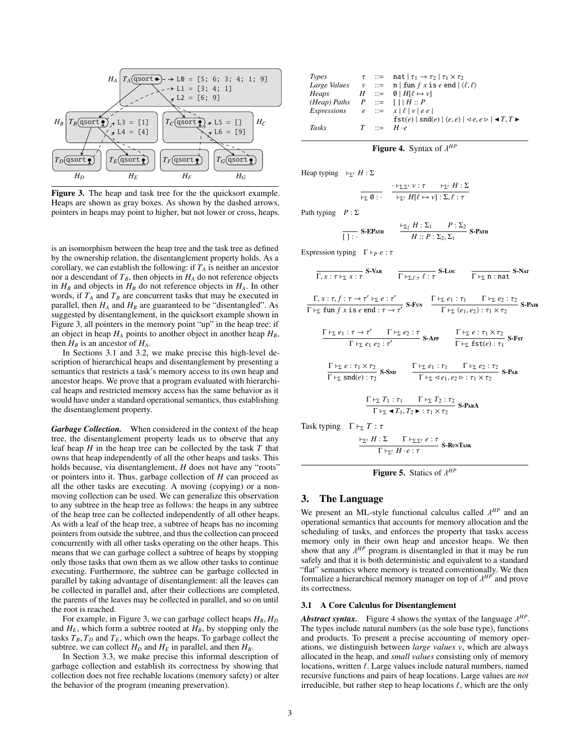

Figure 3. The heap and task tree for the the quicksort example. Heaps are shown as gray boxes. As shown by the dashed arrows, pointers in heaps may point to higher, but not lower or cross, heaps.

is an isomorphism between the heap tree and the task tree as defined by the ownership relation, the disentanglement property holds. As a corollary, we can establish the following: if  $T_A$  is neither an ancestor nor a descendant of  $T_B$ , then objects in  $H_A$  do not reference objects in  $H_B$  and objects in  $H_B$  do not reference objects in  $H_A$ . In other words, if  $T_A$  and  $T_B$  are concurrent tasks that may be executed in parallel, then  $H_A$  and  $H_B$  are guaranteed to be "disentangled". As suggested by disentanglement, in the quicksort example shown in Figure 3, all pointers in the memory point "up" in the heap tree: if an object in heap  $H_A$  points to another object in another heap  $H_B$ , then  $H_B$  is an ancestor of  $H_A$ .

In Sections 3.1 and 3.2, we make precise this high-level description of hierarchical heaps and disentanglement by presenting a semantics that restricts a task's memory access to its own heap and ancestor heaps. We prove that a program evaluated with hierarchical heaps and restricted memory access has the same behavior as it would have under a standard operational semantics, thus establishing the disentanglement property.

*Garbage Collection.* When considered in the context of the heap tree, the disentanglement property leads us to observe that any leaf heap *H* in the heap tree can be collected by the task *T* that owns that heap independently of all the other heaps and tasks. This holds because, via disentanglement, *H* does not have any "roots" or pointers into it. Thus, garbage collection of *H* can proceed as all the other tasks are executing. A moving (copying) or a nonmoving collection can be used. We can generalize this observation to any subtree in the heap tree as follows: the heaps in any subtree of the heap tree can be collected independently of all other heaps. As with a leaf of the heap tree, a subtree of heaps has no incoming pointers from outside the subtree, and thus the collection can proceed concurrently with all other tasks operating on the other heaps. This means that we can garbage collect a subtree of heaps by stopping only those tasks that own them as we allow other tasks to continue executing. Furthermore, the subtree can be garbage collected in parallel by taking advantage of disentanglement: all the leaves can be collected in parallel and, after their collections are completed, the parents of the leaves may be collected in parallel, and so on until the root is reached.

For example, in Figure 3, we can garbage collect heaps *<sup>H</sup><sup>B</sup>*, *<sup>H</sup><sup>D</sup>* and  $H_E$ , which form a subtree rooted at  $H_B$ , by stopping only the tasks  $T_B$ ,  $T_D$  and  $T_E$ , which own the heaps. To garbage collect the subtree, we can collect  $H_D$  and  $H_E$  in parallel, and then  $H_B$ .

In Section 3.3, we make precise this informal description of garbage collection and establish its correctness by showing that collection does not free rechable locations (memory safety) or alter the behavior of the program (meaning preservation).

| Types                                         |  | $\tau$ ::= nat $ \tau_1 \rightarrow \tau_2   \tau_1 \times \tau_2$                                            |
|-----------------------------------------------|--|---------------------------------------------------------------------------------------------------------------|
|                                               |  | <i>Large Values</i> $v ::= n   \text{ fun } f x \text{ is } e \text{ end }  \langle \ell, \ell \rangle$       |
| Heaps                                         |  | $H$ ::= $\emptyset$   $H[\ell \mapsto \nu]$                                                                   |
| $(Heap)$ Paths $P ::= \lceil \rceil   H :: P$ |  |                                                                                                               |
|                                               |  | Expressions $e ::= x   \ell   v   e e  $                                                                      |
|                                               |  | $fst(e)   snd(e)   \langle e, e \rangle   \langle e, e \rangle   \blacktriangleleft T, T \blacktriangleright$ |
| Tasks                                         |  | $T \rightarrow \pm H \cdot e$                                                                                 |
|                                               |  |                                                                                                               |

# **Figure 4.** Syntax of  $\lambda^{HP}$

Heap typing  $F_{\Sigma'} H : \Sigma$ 

$$
\frac{\vdash_{\Sigma} \mathcal{D} \; \mathcal{V} \; \mathcal{T} \; \mathcal{V} \; \mathcal{T} \; \mathcal{V} \; \mathcal{V} \; \mathcal{V} \; \mathcal{V} \; \mathcal{V} \; \mathcal{V}}{\vdash_{\Sigma'} H[\ell \mapsto \mathcal{V}] : \Sigma, \ell : \tau}
$$

Path typing *P* : Σ

$$
\frac{\vdash_{\Sigma_2} H : \Sigma_1 \qquad P : \Sigma_2}{H :: P : \Sigma_2, \Sigma_1} \text{ S-Parn}
$$

Expression typing  $\Gamma \vdash_P e : \tau$ 

$$
\frac{\Gamma}{\Gamma, x : \tau \vdash_{\Sigma} x : \tau} \text{ S-VaR} \qquad \frac{\Gamma \vdash_{\Sigma, \ell: \tau} \ell : \tau \text{ S-Loc}}{\Gamma \vdash_{\Sigma} n : n \text{ at}} \text{ S-Nar}
$$
\n
$$
\frac{\Gamma, x : \tau, f : \tau \to \tau' \vdash_{\Sigma} e : \tau'}{\Gamma \vdash_{\Sigma} \text{ fun } f \text{ x is } e \text{ end} : \tau \to \tau'} \text{ S-Fun} \qquad \frac{\Gamma \vdash_{\Sigma} e_1 : \tau_1 \qquad \Gamma \vdash_{\Sigma} e_2 : \tau_2}{\Gamma \vdash_{\Sigma} \langle e_1, e_2 \rangle : \tau_1 \times \tau_2} \text{ S-Pan}
$$
\n
$$
\frac{\Gamma \vdash_{\Sigma} e_1 : \tau \to \tau' \qquad \Gamma \vdash_{\Sigma} e_2 : \tau}{\Gamma \vdash_{\Sigma} e_1 e_2 : \tau'} \text{ S-APP} \qquad \frac{\Gamma \vdash_{\Sigma} e : \tau_1 \times \tau_2}{\Gamma \vdash_{\Sigma} \text{ fst}(e) : \tau_1} \text{ S-Fsr}
$$
\n
$$
\frac{\Gamma \vdash_{\Sigma} e : \tau_1 \times \tau_2}{\Gamma \vdash_{\Sigma} \text{ snd}(e) : \tau_2} \text{ S-SND} \qquad \frac{\Gamma \vdash_{\Sigma} e_1 : \tau_1 \qquad \Gamma \vdash_{\Sigma} e_2 : \tau_2}{\Gamma \vdash_{\Sigma} \text{ 4} e_1, e_2 \rhd : \tau_1 \times \tau_2} \text{ S-PaR}
$$
\n
$$
\frac{\Gamma \vdash_{\Sigma} T_1 : \tau_1 \qquad \Gamma \vdash_{\Sigma} T_2 : \tau_2}{\Gamma \vdash_{\Sigma} \text{ 4} T_1, T_2 \blacktriangleright : \tau_1 \times \tau_2} \text{ S-PaR}
$$
\n
$$
\frac{\Gamma \vdash_{\Sigma} T_1 : \tau_1 \qquad \Gamma \vdash_{\Sigma} T_2 : \tau_2}{\Gamma \vdash_{\Sigma} \text{ 4} T_1, T_2 \blacktriangleright : \tau_1 \times \tau_2} \text{ S-PaR}
$$
\n
$$
\frac{\vdash_{\Sigma'} H : \Sigma \qquad \Gamma \vdash_{\Sigma} e : \tau
$$

**Figure 5.** Statics of  $\lambda^{HP}$ 

### 3. The Language

We present an ML-style functional calculus called  $\lambda^{HP}$  and an operational semantics that accounts for memory allocation and the operational semantics that accounts for memory allocation and the scheduling of tasks, and enforces the property that tasks access memory only in their own heap and ancestor heaps. We then show that any  $\lambda^{HP}$  program is disentangled in that it may be run safely and that it is both deterministic and equivalent to a standard safely and that it is both deterministic and equivalent to a standard "flat" semantics where memory is treated conventionally. We then formalize a hierarchical memory manager on top of λ *HP* and prove its correctness.

#### 3.1 A Core Calculus for Disentanglement

*Abstract syntax.* Figure 4 shows the syntax of the language  $\lambda^{HP}$ .<br>The types include natural numbers (as the sole base type) functions The types include natural numbers (as the sole base type), functions and products. To present a precise accounting of memory operations, we distinguish between *large values v*, which are always allocated in the heap, and *small values* consisting only of memory locations, written  $\ell$ . Large values include natural numbers, named recursive functions and pairs of heap locations. Large values are *not* irreducible, but rather step to heap locations  $\ell$ , which are the only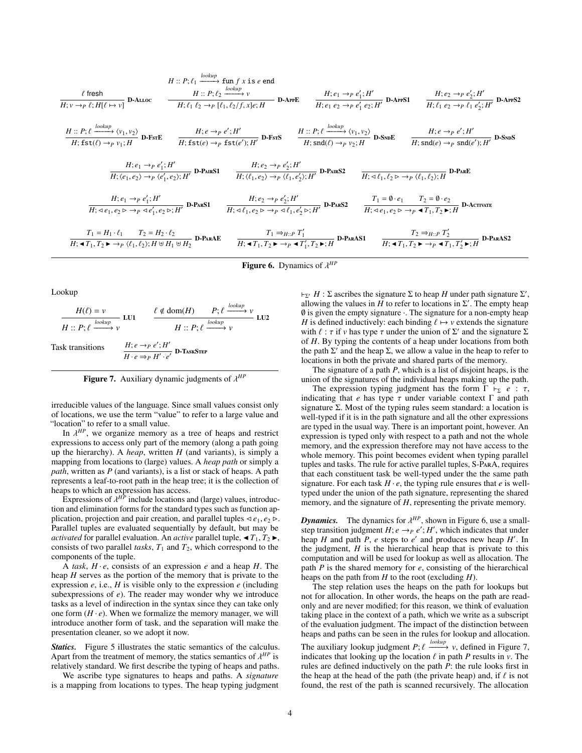$$
H:: P; \ell_1 \xrightarrow{lookup} \text{D-ALLOC}
$$
\n
$$
H:: P; \ell_2 \xrightarrow{lookup} \text{D-ALLOC}
$$
\n
$$
H:: P; \ell_2 \xrightarrow{lookup} \text{D-APFE}
$$
\n
$$
H: e_1 \rightarrow p \, e'_1; H'
$$
\n
$$
H: e_1 \rightarrow p \, e'_1; H'
$$
\n
$$
H: e_1 \rightarrow p \, e'_1; H'
$$
\n
$$
H: e_1 \rightarrow p \, e'_1; H'
$$
\n
$$
H: e_1 \rightarrow p \, e'_1; H'
$$
\n
$$
H: e_1 \rightarrow p \, e'_1; H'
$$
\n
$$
H: e_1 \rightarrow p \, e'_1; H'
$$
\n
$$
H: \text{fst}(\ell) \rightarrow p \, v_1; H
$$
\n
$$
H: \text{fst}(\ell) \rightarrow p \, v_1; H
$$
\n
$$
H: \text{fst}(\ell) \rightarrow p \, e'_1; H'
$$
\n
$$
H: \text{fst}(\ell) \rightarrow p \, f_1; H'
$$
\n
$$
H: \text{fst}(\ell) \rightarrow p \, f_1; H'
$$
\n
$$
H: e \rightarrow p \, e'_1; H'
$$
\n
$$
H: e \rightarrow p \, e'_1; H'
$$
\n
$$
H: e \rightarrow p \, e'_1; H'
$$
\n
$$
H: e \rightarrow p \, e'_2; H'
$$
\n
$$
H: \text{fst}(\ell) \rightarrow p \, v_1; H
$$
\n
$$
H: e_1 \rightarrow p \, e'_1; H'
$$
\n
$$
H: e_2 \rightarrow p \, e'_2; H'
$$
\n
$$
H: e_1 \rightarrow p \, e'_1; H'
$$
\n
$$
H: e_2 \rightarrow p \, e'_2; H'
$$
\n
$$
H: e_2 \rightarrow p \, e'_2; H'
$$
\n
$$
H: e_1 \rightarrow p \, e'_1; H'
$$
\n
$$
H: e_2 \rightarrow p \, e'_2; H'
$$
\n
$$
H: e_1 \rightarrow p \, e'_1; H'
$$
\n
$$
H: e_1 \rightarrow p \, e
$$

**Figure 6.** Dynamics of  $\lambda^{HP}$ 

Lookup

$$
\frac{H(\ell) = v}{H :: P; \ell \xrightarrow{lookup} v} \text{LU1} \qquad \frac{\ell \notin \text{dom}(H) \qquad P; \ell \xrightarrow{lookup} v}{H :: P; \ell \xrightarrow{lookup} v} \text{LU2}
$$
\nTask transitions

\n
$$
\frac{H; e \rightarrow_P e'; H'}{H \cdot e \Rightarrow_P H' \cdot e'} \text{D-TassS} \text{TEP}
$$

Figure 7. Auxiliary dynamic judgments of λ *HP*

irreducible values of the language. Since small values consist only of locations, we use the term "value" to refer to a large value and "location" to refer to a small value.

In  $\lambda^{HP}$ , we organize memory as a tree of heaps and restrict<br>ressions to access only part of the memory (along a path going expressions to access only part of the memory (along a path going up the hierarchy). A *heap*, written *H* (and variants), is simply a mapping from locations to (large) values. A *heap path* or simply a *path*, written as *P* (and variants), is a list or stack of heaps. A path represents a leaf-to-root path in the heap tree; it is the collection of heaps to which an expression has access.

Expressions of  $\lambda^{HP}$  include locations and (large) values, introduc-<br>Land elimination forms for the standard types such as function antion and elimination forms for the standard types such as function application, projection and pair creation, and parallel tuples  $\triangleleft e_1, e_2 \triangleright$ . Parallel tuples are evaluated sequentially by default, but may be *activated* for parallel evaluation. An *active* parallel tuple,  $\blacktriangleleft T_1, T_2 \blacktriangleright$ , consists of two parallel *tasks*,  $T_1$  and  $T_2$ , which correspond to the components of the tuple.

A *task*, *H* · *e*, consists of an expression *e* and a heap *H*. The heap *H* serves as the portion of the memory that is private to the expression *e*, i.e., *H* is visible only to the expression *e* (including subexpressions of *e*). The reader may wonder why we introduce tasks as a level of indirection in the syntax since they can take only one form  $(H \cdot e)$ . When we formalize the memory manager, we will introduce another form of task, and the separation will make the presentation cleaner, so we adopt it now.

*Statics.* Figure 5 illustrates the static semantics of the calculus. Apart from the treatment of memory, the statics semantics of  $\lambda^{HP}$  is<br>relatively standard. We first describe the typing of heaps and paths relatively standard. We first describe the typing of heaps and paths.

We ascribe type signatures to heaps and paths. A *signature* is a mapping from locations to types. The heap typing judgment

 $\vdash_{\Sigma'} H : \Sigma$  ascribes the signature  $\Sigma$  to heap *H* under path signature  $\Sigma'$ , allowing the values in  $H$  to refer to locations in  $\Sigma'$ . The empty heap  $\emptyset$  is given the empty signature  $\cdot$ . The signature for a non-empty heap *H* is defined inductively: each binding  $\ell \mapsto \nu$  extends the signature with  $\ell : \tau$  if  $\nu$  has type  $\tau$  under the union of  $\Sigma'$  and the signature  $\Sigma$  of H. By typing the contents of a heap under locations from both of *H*. By typing the contents of a heap under locations from both the path  $\Sigma'$  and the heap  $\Sigma$ , we allow a value in the heap to refer to locations in both the private and shared parts of the memory.

The signature of a path *P*, which is a list of disjoint heaps, is the union of the signatures of the individual heaps making up the path.

The expression typing judgment has the form  $\Gamma \vdash_{\Sigma} e : \tau$ , indicating that *e* has type  $\tau$  under variable context  $\Gamma$  and path signature Σ. Most of the typing rules seem standard: a location is well-typed if it is in the path signature and all the other expressions are typed in the usual way. There is an important point, however. An expression is typed only with respect to a path and not the whole memory, and the expression therefore may not have access to the whole memory. This point becomes evident when typing parallel tuples and tasks. The rule for active parallel tuples, S-ParA, requires that each constituent task be well-typed under the the same path signature. For each task  $H \cdot e$ , the typing rule ensures that  $e$  is welltyped under the union of the path signature, representing the shared memory, and the signature of *H*, representing the private memory.

*Dynamics.* The dynamics for  $\lambda^{HP}$ , shown in Figure 6, use a small-<br>step transition indoment  $H: e \rightarrow e e^{\prime}$ . *H'* which indicates that under step transition judgment  $H$ ;  $e \rightarrow_P e'$ ;  $H'$ , which indicates that under heap  $H$  and path  $P$ ,  $e$  steps to  $e'$  and produces new heap  $H'$ . In the judgment,  $H$  is the hierarchical heap that is private to this computation and will be used for lookup as well as allocation. The path *P* is the shared memory for *e*, consisting of the hierarchical heaps on the path from *H* to the root (excluding *H*).

The step relation uses the heaps on the path for lookups but not for allocation. In other words, the heaps on the path are readonly and are never modified; for this reason, we think of evaluation taking place in the context of a path, which we write as a subscript of the evaluation judgment. The impact of the distinction between heaps and paths can be seen in the rules for lookup and allocation.

The auxiliary lookup judgment *P*;  $\ell \frac{lookup}{}$   $\nu$ , defined in Figure 7, indicates that looking up the location  $\ell$  in path *P* results in  $\nu$ . The indicates that looking up the location  $\ell$  in path  $P$  results in  $\nu$ . The rules are defined inductively on the path *P*: the rule looks first in the heap at the head of the path (the private heap) and, if  $\ell$  is not found, the rest of the path is scanned recursively. The allocation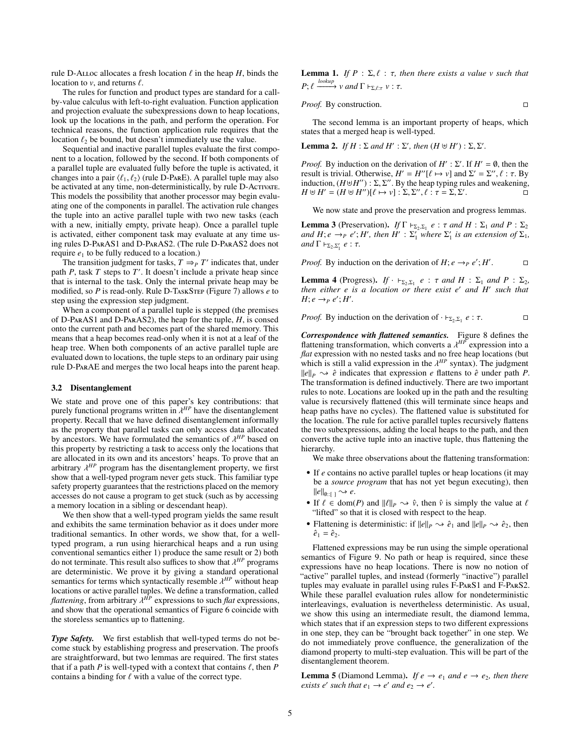rule D-ALLoc allocates a fresh location  $\ell$  in the heap  $H$ , binds the location to  $v$ , and returns  $\ell$ .

The rules for function and product types are standard for a callby-value calculus with left-to-right evaluation. Function application and projection evaluate the subexpressions down to heap locations, look up the locations in the path, and perform the operation. For technical reasons, the function application rule requires that the location  $\ell_2$  be bound, but doesn't immediately use the value.

Sequential and inactive parallel tuples evaluate the first component to a location, followed by the second. If both components of a parallel tuple are evaluated fully before the tuple is activated, it changes into a pair  $\langle \ell_1, \ell_2 \rangle$  (rule D-PARE). A parallel tuple may also be activated at any time, non-deterministically, by rule D-Activate. This models the possibility that another processor may begin evaluating one of the components in parallel. The activation rule changes the tuple into an active parallel tuple with two new tasks (each with a new, initially empty, private heap). Once a parallel tuple is activated, either component task may evaluate at any time using rules D-ParAS1 and D-ParAS2. (The rule D-ParAS2 does not require  $e_1$  to be fully reduced to a location.)

The transition judgment for tasks,  $T \Rightarrow_{P} T'$  indicates that, under path  $P$ , task  $T$  steps to  $T'$ . It doesn't include a private heap since that is internal to the task. Only the internal private heap may be modified, so *P* is read-only. Rule D-TaskStep (Figure 7) allows *e* to step using the expression step judgment.

When a component of a parallel tuple is stepped (the premises of D-ParAS1 and D-ParAS2), the heap for the tuple, *H*, is consed onto the current path and becomes part of the shared memory. This means that a heap becomes read-only when it is not at a leaf of the heap tree. When both components of an active parallel tuple are evaluated down to locations, the tuple steps to an ordinary pair using rule D-ParAE and merges the two local heaps into the parent heap.

#### 3.2 Disentanglement

We state and prove one of this paper's key contributions: that purely functional programs written in λ<sup>*HP*</sup> have the disentanglement<br>property Recall that we have defined disentanglement informally property. Recall that we have defined disentanglement informally as the property that parallel tasks can only access data allocated by ancestors. We have formulated the semantics of  $\lambda^{HP}$  based on this property by restricting a task to access only the locations that this property by restricting a task to access only the locations that are allocated in its own and its ancestors' heaps. To prove that an arbitrary  $\lambda^{HP}$  program has the disentanglement property, we first<br>show that a well-typed program never gets stuck. This familiar type show that a well-typed program never gets stuck. This familiar type safety property guarantees that the restrictions placed on the memory accesses do not cause a program to get stuck (such as by accessing a memory location in a sibling or descendant heap).

We then show that a well-typed program yields the same result and exhibits the same termination behavior as it does under more traditional semantics. In other words, we show that, for a welltyped program, a run using hierarchical heaps and a run using conventional semantics either 1) produce the same result or 2) both do not terminate. This result also suffices to show that  $\lambda^{HP}$  programs are deterministic. We prove it by giving a standard operational are deterministic. We prove it by giving a standard operational semantics for terms which syntactically resemble  $λ<sup>HP</sup>$  without heap<br>locations or active parallel tuples. We define a transformation, called locations or active parallel tuples. We define a transformation, called *flattening*, from arbitrary  $\lambda^{HP}$  expressions to such *flat* expressions, and show that the operational semantics of Figure 6 coincide with and show that the operational semantics of Figure 6 coincide with the storeless semantics up to flattening.

*Type Safety.* We first establish that well-typed terms do not become stuck by establishing progress and preservation. The proofs are straightforward, but two lemmas are required. The first states that if a path *P* is well-typed with a context that contains  $\ell$ , then *P* contains a binding for  $\ell$  with a value of the correct type.

**Lemma 1.** *If*  $P : \Sigma, \ell : \tau$ , then there exists a value *v* such that  $P; \ell \xrightarrow{lookup} v \text{ and } \Gamma \vdash_{\Sigma, \ell: \tau} v : \tau.$ 

*Proof.* By construction.

The second lemma is an important property of heaps, which states that a merged heap is well-typed.

**Lemma 2.** *If*  $H : \Sigma$  *and*  $H' : \Sigma'$ *, then*  $(H \cup H') : \Sigma, \Sigma'$ *.* 

*Proof.* By induction on the derivation of  $H'$ :  $\Sigma'$ . If  $H' = \emptyset$ , then the result is trivial. Otherwise,  $H' = H''[\ell \mapsto v]$  and  $\Sigma' = \Sigma'', \ell : \tau$ . By induction  $(H \uplus H'') \cdot \Sigma \Sigma''$  By the heap typing rules and weakening induction,  $(H \oplus H'') : \Sigma, \Sigma''$ . By the heap typing rules and weakening,<br>  $H \oplus H' = (H \oplus H'') [P \mapsto v] \cdot \Sigma, \Sigma'' \cdot P \cdot \tau = \Sigma, \Sigma'$  $H \oplus H' = (H \oplus H'')[\ell \mapsto v] : \Sigma, \Sigma'', \ell : \tau = \Sigma, \Sigma'$ . – Б<br>П

We now state and prove the preservation and progress lemmas.

**Lemma 3** (Preservation). *If*  $\Gamma \vdash_{\Sigma_2, \Sigma_1} e : \tau$  *and*  $H : \Sigma_1$  *and*  $P : \Sigma_2$ <br>*and*  $H : e \rightarrow e$  *e'*  $H'$  *then*  $H' : \Sigma'$  *where*  $\Sigma'$  *is an extension of*  $\Sigma_2$ . *and*  $H$ ; *e*  $\rightarrow$ *P e'*;  $H'$ , *then*  $H'$  :  $\Sigma_1'$  *where*  $\Sigma_1'$  *is an extension of*  $\Sigma_1$ *,*  $and \Gamma \vdash_{\Sigma_2, \Sigma'_1} e : \tau.$ 

*Proof.* By induction on the derivation of  $H$ ;  $e \rightarrow_P e'$ ;  $H'$  $\Box$ 

**Lemma 4** (Progress). *If*  $\cdot$   $\vdash_{\Sigma_2,\Sigma_1} e : \tau$  *and H* :  $\Sigma_1$  *and P* :  $\Sigma_2$ , then either e is a location or there exist e' and H' such that *then either e is a location or there exist e* <sup>0</sup> *and H* 0 *such that*  $H$ ;  $e \rightarrow_P e$ ;  $H'$ .

*Proof.* By induction on the derivation of  $\cdot \vdash_{\Sigma_2, \Sigma_1} e : \tau$ .

*Correspondence with flattened semantics.* Figure 8 defines the flattening transformation, which converts a  $\lambda^{HP}$  expression into a *flat* expression with no nested tasks and no free heap locations (but *flat* expression with no nested tasks and no free heap locations (but which is still a valid expression in the  $\lambda^{HP}$  syntax). The judgment  $\|\rho\|_{\infty} \to \hat{\rho}$  indicates that expression  $\rho$  flattens to  $\hat{\rho}$  under path P  $\|\psi\|_{P} \rightarrow \hat{e}$  indicates that expression *e* flattens to  $\hat{e}$  under path *P*. The transformation is defined inductively. There are two important rules to note. Locations are looked up in the path and the resulting value is recursively flattened (this will terminate since heaps and heap paths have no cycles). The flattened value is substituted for the location. The rule for active parallel tuples recursively flattens the two subexpressions, adding the local heaps to the path, and then converts the active tuple into an inactive tuple, thus flattening the hierarchy.

We make three observations about the flattening transformation:

- If *e* contains no active parallel tuples or heap locations (it may be a *source program* that has not yet begun executing), then  $||e||_{\emptyset::[} \rightarrow e.$
- If  $\ell \in \text{dom}(P)$  and  $\|\ell\|_P \to \hat{\nu}$ , then  $\hat{\nu}$  is simply the value at  $\ell$ "lifted" so that it is closed with respect to the heap.
- Flattening is deterministic: if  $||e||_P \rightarrow \hat{e}_1$  and  $||e||_P \rightarrow \hat{e}_2$ , then  $\hat{e}_1 = \hat{e}_2.$

Flattened expressions may be run using the simple operational semantics of Figure 9. No path or heap is required, since these expressions have no heap locations. There is now no notion of "active" parallel tuples, and instead (formerly "inactive") parallel tuples may evaluate in parallel using rules F-ParS1 and F-ParS2. While these parallel evaluation rules allow for nondeterministic interleavings, evaluation is nevertheless deterministic. As usual, we show this using an intermediate result, the diamond lemma, which states that if an expression steps to two different expressions in one step, they can be "brought back together" in one step. We do not immediately prove confluence, the generalization of the diamond property to multi-step evaluation. This will be part of the disentanglement theorem.

**Lemma 5** (Diamond Lemma). *If*  $e \rightarrow e_1$  *and*  $e \rightarrow e_2$ *, then there exists e' such that*  $e_1 \rightarrow e'$  *and*  $e_2 \rightarrow e'$ *.*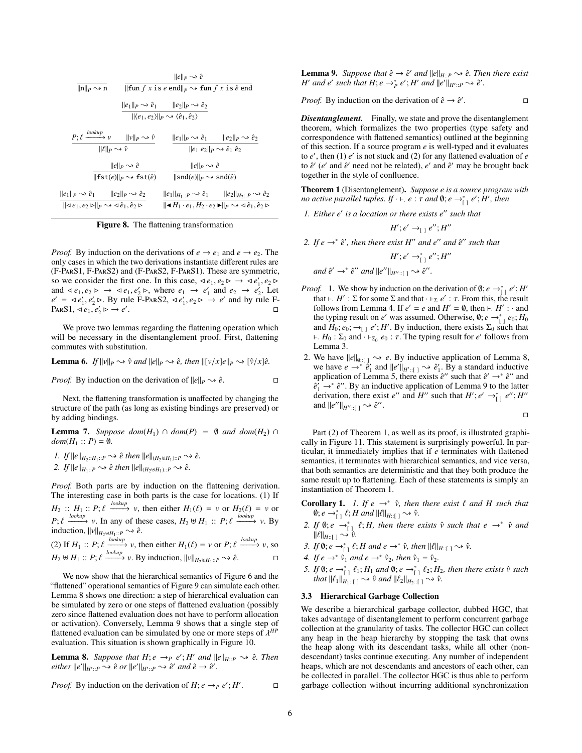|                                                                                                                  | $  e  _p \rightsquigarrow \hat{e}$                                                                            |                                                                                                                                                 |  |  |  |  |  |  |  |  |
|------------------------------------------------------------------------------------------------------------------|---------------------------------------------------------------------------------------------------------------|-------------------------------------------------------------------------------------------------------------------------------------------------|--|--|--|--|--|--|--|--|
| $\ {\mathfrak{n}}\ _P\leadsto {\mathfrak{n}}$                                                                    | $\ \text{fun } f x \text{ is } e \text{ end}\ _P \rightarrow \text{fun } f x \text{ is } \hat{e} \text{ end}$ |                                                                                                                                                 |  |  |  |  |  |  |  |  |
|                                                                                                                  |                                                                                                               | $  e_1  _P \rightsquigarrow \hat{e}_1$ $  e_2  _P \rightsquigarrow \hat{e}_2$                                                                   |  |  |  |  |  |  |  |  |
| $\ \langle e_1, e_2 \rangle\ _p \rightsquigarrow \langle \hat{e}_1, \hat{e}_2 \rangle$                           |                                                                                                               |                                                                                                                                                 |  |  |  |  |  |  |  |  |
| $P: \ell \xrightarrow{lookup} v \qquad   v  _P \rightarrow \hat{v}$                                              |                                                                                                               | $  e_1  _P \rightsquigarrow \hat{e}_1$ $  e_2  _P \rightsquigarrow \hat{e}_2$                                                                   |  |  |  |  |  |  |  |  |
| $\ \ell\ _p \leadsto \hat{\nu}$                                                                                  |                                                                                                               | $  e_1 e_2  _p \rightsquigarrow \hat{e}_1 \hat{e}_2$                                                                                            |  |  |  |  |  |  |  |  |
|                                                                                                                  | $  e  _p \rightsquigarrow \hat{e}$                                                                            | $  e  _p \rightsquigarrow \hat{e}$                                                                                                              |  |  |  |  |  |  |  |  |
|                                                                                                                  | $\ \textsf{fst}(e)\ _p \rightsquigarrow \textsf{fst}(\hat{e})$                                                | $\ \text{snd}(e)\ _P \rightsquigarrow \text{snd}(\hat{e})$                                                                                      |  |  |  |  |  |  |  |  |
| $  e_1  _P \rightsquigarrow \hat{e}_1$ $  e_2  _P \rightsquigarrow \hat{e}_2$                                    |                                                                                                               | $  e_1  _{H_1::P} \rightsquigarrow \hat{e}_1$ $  e_2  _{H_2::P} \rightsquigarrow \hat{e}_2$                                                     |  |  |  |  |  |  |  |  |
| $\ \triangleleft e_1, e_2 \triangleright\ _p \rightsquigarrow \triangleleft \hat{e}_1, \hat{e}_2 \triangleright$ |                                                                                                               | $  \blacktriangleleft H_1 \cdot e_1, H_2 \cdot e_2 \blacktriangleright   _P \rightsquigarrow \triangleleft \hat{e}_1, \hat{e}_2 \triangleright$ |  |  |  |  |  |  |  |  |

Figure 8. The flattening transformation

*Proof.* By induction on the derivations of  $e \rightarrow e_1$  and  $e \rightarrow e_2$ . The only cases in which the two derivations instantiate different rules are (F-ParS1, F-ParS2) and (F-ParS2, F-ParS1). These are symmetric, so we consider the first one. In this case,  $\triangleleft e_1, e_2 \triangleright \rightarrow \triangleleft e'_1, e_2 \triangleright$ <br>and  $\triangleleft e_1, e_2 \triangleright \rightarrow \triangleleft e'_1 \triangleright$  where  $e_1 \rightarrow e'_1$  and  $e_2 \rightarrow e'_2$ . Let and  $\triangleleft e_1, e_2 \triangleright \rightarrow \triangleleft e_1, e'_2 \triangleright$ , where  $e_1 \rightarrow e'_1$  and  $e_2 \rightarrow e'_2$ . Let  $e' = \triangleleft e' \triangleright \triangleleft e$  b  $\triangleright$  **P** and by rule F  $e' = \langle e_1', e_2' \rangle$ . By rule  $\overline{F}$ -ParS2,  $\langle e_1', e_2 \rangle \rightarrow e'$  and by rule F-ParS1,  $\langle e_1, e_2' \rangle \rightarrow e'$ . PARS1,  $\triangleleft e_1, e'_2 \triangleright \rightarrow e'$ 

We prove two lemmas regarding the flattening operation which will be necessary in the disentanglement proof. First, flattening commutes with substitution.

**Lemma 6.** If 
$$
||v||_p \leadsto \hat{v}
$$
 and  $||e||_p \leadsto \hat{e}$ , then  $||[v/x]e||_p \leadsto [\hat{v}/x]\hat{e}$ .

*Proof.* By induction on the derivation of 
$$
||e||_P \leadsto \hat{e}
$$
.

Next, the flattening transformation is unaffected by changing the structure of the path (as long as existing bindings are preserved) or by adding bindings.

**Lemma 7.** *Suppose dom*( $H_1$ ) ∩ *dom*( $P$ ) =  $\emptyset$  *and dom*( $H_2$ ) ∩  $dom(H_1 :: P) = \emptyset$ *.* 

I. If 
$$
||e||_{H_2:H_1:P} \rightsquigarrow \hat{e}
$$
 then  $||e||_{(H_2 \uplus H_1)::P} \rightsquigarrow \hat{e}$ .

*2. If*  $||e||_{H_1::P} \rightarrow \hat{e}$  *then*  $||e||_{(H_2 \cup H_1)::P} \rightarrow \hat{e}$ *.* 

*Proof.* Both parts are by induction on the flattening derivation. The interesting case in both parts is the case for locations. (1) If  $H_2 :: H_1 :: P; \ell \xrightarrow{lookup} v$ , then either  $H_1(\ell) = v$  or  $H_2(\ell) = v$  or<br>  $P; \ell \xrightarrow{lookup} v$ . In any of these cases,  $H_2 \uplus H_1 :: P; \ell \xrightarrow{lookup} v$ . By  $P; \ell \longrightarrow v$ . In any of the induction,  $||v||_{H_2 \uplus H_1: P} \rightarrow \hat{e}$ . (2) If  $H_1$  ::  $P; \ell \xrightarrow{lookup} v$ , then either  $H_1(\ell) = v$  or  $P; \ell \xrightarrow{lookup} v$ , so *H*<sub>2</sub>  $\uplus$  *H*<sub>1</sub> :: *P*;  $\ell$   $\xrightarrow{lookup}$  *v*. By induction,  $||v||_{H_2 \uplus H_1::P}$   $\sim \ell$ . □

We now show that the hierarchical semantics of Figure 6 and the "flattened" operational semantics of Figure 9 can simulate each other. Lemma 8 shows one direction: a step of hierarchical evaluation can be simulated by zero or one steps of flattened evaluation (possibly zero since flattened evaluation does not have to perform allocation or activation). Conversely, Lemma 9 shows that a single step of flattened evaluation can be simulated by one or more steps of  $\lambda^{HP}$ <br>evaluation. This situation is shown graphically in Figure 10 evaluation. This situation is shown graphically in Figure 10.

**Lemma 8.** Suppose that  $H$ ;  $e \rightarrow_P e'$ ;  $H'$  and  $||e||_{H::P} \rightarrow \hat{e}$ . Then  $\hat{e}$  *either*  $\|e'\|_{H':P} \rightarrow \hat{e}$  *or*  $\|e'\|_{H':P} \rightarrow \hat{e}'$  *and*  $\hat{e} \rightarrow \hat{e}'$ *.* 

*Proof.* By induction on the derivation of 
$$
H
$$
;  $e \rightarrow_P e'$ ;  $H'$ .  $\Box$ 

**Lemma 9.** Suppose that  $\hat{e} \rightarrow \hat{e}'$  and  $||e||_{H::P} \rightarrow \hat{e}$ . Then there exist *H*<sup> $\alpha$ </sup> *and e*<sup> $\alpha$ </sup> *such that H*; *e*  $\rightarrow$ <sup>\*</sup><sub>*P*</sub> *e*<sup> $\prime$ </sup>; *H*<sup> $\alpha$ </sup> *and*  $\|e^{\prime}\|_{H^{\prime}::P}} \rightarrow \hat{e}^{\prime}$ .

*Proof.* By induction on the derivation of  $\hat{e} \rightarrow \hat{e}$ . В проста в проста в села в села в села в села в села в села в села в села в села в села в села в села в села<br>Села в села в села в села в села в села в села в села в села в села в села в села в села в села в села в села

*Disentanglement.* Finally, we state and prove the disentanglement theorem, which formalizes the two properties (type safety and correspondence with flattened semantics) outlined at the beginning of this section. If a source program *e* is well-typed and it evaluates to  $e'$ , then (1)  $e'$  is not stuck and (2) for any flattened evaluation of  $e$ to  $\hat{e}$ <sup>'</sup> (*e*' and  $\hat{e}$ <sup>'</sup> need not be related), *e*' and  $\hat{e}$ <sup>'</sup> may be brought back together in the style of confluence.

Theorem 1 (Disentanglement). *Suppose e is a source program with no active parallel tuples. If*  $\cdot \vdash e : \tau$  *and*  $\emptyset$ ;  $e \rightarrow_{[e]}^* e'$ ; *H'*, *then* 

*1. Either e' is a location or there exists e" such that* 

$$
H';e'\rightarrow_{[ ]}e'';H''
$$

2. If  $e \rightarrow e^* e'$ , then there exist H<sup>n</sup> and  $e'$  and  $\hat{e}''$  such that

$$
H';e'\rightarrow^*_{[}]e'';H''
$$

*and*  $\hat{e}' \rightarrow^* \hat{e}''$  *and*  $||e''||_{H''::[ ]} \rightarrow \hat{e}''$ .

- *Proof.* 1. We show by induction on the derivation of  $\emptyset$ ;  $e \rightarrow_{[]}^* e'$ ; *H*' that  $\vdash$ , *H'* :  $\Sigma$  for some  $\Sigma$  and that  $\vdash_{\Sigma} e'$ :  $\tau$ . From this, the result follows from Lemma 4. If  $e' = e$  and  $H' = \emptyset$ , then  $\vdash H' \vdots$  and follows from Lemma 4. If  $e' = e$  and  $H' = \emptyset$ , then  $\vdash H' : \cdot$  and the typing result on *e'* was assumed. Otherwise,  $\emptyset$ ;  $e \rightarrow_{[]}^* e_0$ ;  $H_0$ and  $H_0$ ;  $e_0$ ;  $\rightarrow_{[]}$   $e'$ ; *H'*. By induction, there exists  $\Sigma_0$  such that  $+$  *H*<sub>0</sub> : Σ<sub>0</sub> and ·  $\vdash$ <sub>Σ0</sub> *e*<sub>0</sub> : τ. The typing result for *e'* follows from <br>Lemma 3 Lemma 3.
- 2. We have  $||e||_{\mathbf{0}::[ ]} \rightarrow e$ . By inductive application of Lemma 8, we have  $e \rightarrow^* \hat{e}'_1$  and  $||e'||_{H':[} \rightarrow \hat{e}'_1$ . By a standard inductive application of Lemma 5, there exists  $\hat{e}$ <sup>n</sup> such that  $\hat{e}$ <sup>n</sup>  $\rightarrow$   $\hat{e}$ <sup>n</sup> and  $\hat{e}_1^r \rightarrow^* \hat{e}^{\prime\prime}$ . By an inductive application of Lemma 9 to the latter derivation, there exist *e*" and *H*" such that *H*'; *e'*  $\rightarrow_{[]}^*$  *e*"; *H*" and  $||e''||_{H''::[} \rightarrow \hat{e}''$ .

 $\Box$ 

Part (2) of Theorem 1, as well as its proof, is illustrated graphically in Figure 11. This statement is surprisingly powerful. In particular, it immediately implies that if *e* terminates with flattened semantics, it terminates with hierarchical semantics, and vice versa, that both semantics are deterministic and that they both produce the same result up to flattening. Each of these statements is simply an instantiation of Theorem 1.

**Corollary 1.** *I. If*  $e \rightarrow^* \hat{v}$ *, then there exist*  $\ell$  *and*  $H$  *such that* **Corollary 1.** *I. If*  $e \rightarrow^* \hat{v}$ *, then there exist*  $\ell$  *and*  $H$  *such that*  $\emptyset$ ;  $e \rightarrow^*_{\lfloor 1 \rfloor} \ell$ ;  $H$  *and*  $||\ell||_{H:\lfloor 1 \rfloor} \rightarrow \hat{v}$ *.*<br>2. *If*  $\emptyset$ ;  $e \rightarrow^*_{\lfloor 1 \rfloor} \ell$ ;  $H$ *, then there exists*  $\hat{v}$  *su* 

- $\|\ell\|_{H::[]} \rightsquigarrow \hat{\nu}.$ <br>*HO:*  $\circ \quad \circ \quad \ell$
- 3. *If* 0;  $e \to_{[1]}^* \ell$ ; *H* and  $e \to_{[1]}^* \ell$ , then  $||\ell||_{H:}[] \to \ell$ .
- 4. If  $e \rightarrow^* \hat{v}_1$  and  $e \rightarrow^* \hat{v}_2$ , then  $\hat{v}_1 = \hat{v}_2$ .
- 5. *If*  $\emptyset$ ;  $e \rightarrow^*_{\substack{1 \text{odd}}} \ell_1$ ; *H<sub>1</sub> and*  $\emptyset$ ;  $e \rightarrow^*_{\substack{1 \text{odd}}} \ell_2$ ; *H<sub>2</sub>*, *then there exists*  $\hat{v}$  *such that*  $||\ell_1||_{\substack{1 \text{odd}}} \geq \infty$   $\hat{v}$  *and*  $||\ell_2||_{\substack{1 \text{odd}}} \geq \infty$   $\hat{v}$ *that*  $||\ell_1||_{H_1::[} \rightarrow \hat{v}$  *and*  $||\ell_2||_{H_2::[} \rightarrow \hat{v}$ .

#### 3.3 Hierarchical Garbage Collection

We describe a hierarchical garbage collector, dubbed HGC, that takes advantage of disentanglement to perform concurrent garbage collection at the granularity of tasks. The collector HGC can collect any heap in the heap hierarchy by stopping the task that owns the heap along with its descendant tasks, while all other (nondescendant) tasks continue executing. Any number of independent heaps, which are not descendants and ancestors of each other, can be collected in parallel. The collector HGC is thus able to perform garbage collection without incurring additional synchronization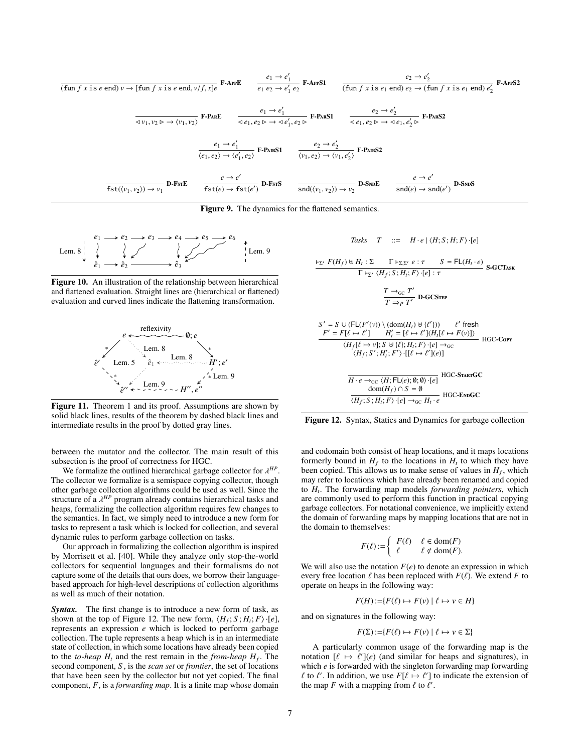$$
\frac{e_1 \rightarrow e'_1}{e_1 e_2 \rightarrow e'_1 e_2} \quad \frac{e_2 \rightarrow e'_2}{e_1 e_2 \rightarrow e'_1 e_2} \quad \frac{e_2 \rightarrow e'_2}{(\text{fun } f \times \text{is } e_1 \text{ end}) e_2 \rightarrow (\text{fun } f \times \text{is } e_1 \text{ end}) e'_2} \quad \text{F-ArFS2}
$$
\n
$$
\frac{e_1 \rightarrow e'_1}{\text{dyn}, v_2 \rightarrow \langle v_1, v_2 \rangle} \quad \text{F-PaRE} \quad \frac{e_1 \rightarrow e'_1}{\text{qq}, e_2 \rightarrow \neg e'_1 e_2} \quad \text{F-PaRS1} \quad \frac{e_2 \rightarrow e'_2}{\text{qq}, e_2 \rightarrow \neg e_1 e'_2 \rightarrow \neg e_1 e'_2} \quad \text{F-PaRS2}
$$
\n
$$
\frac{e_1 \rightarrow e'_1}{\langle e_1, e_2 \rangle \rightarrow \langle e'_1, e_2 \rangle} \quad \text{F-PaRS1} \quad \frac{e_2 \rightarrow e'_2}{\langle v_1, e_2 \rangle \rightarrow \langle v_1, e'_2 \rangle} \quad \text{F-PaRS2}
$$
\n
$$
\frac{e_1 \rightarrow e'_1}{\langle e_1, e_2 \rangle \rightarrow \langle e'_1, e_2 \rangle} \quad \text{F-PaRS1} \quad \frac{e_2 \rightarrow e'_2}{\langle v_1, e_2 \rangle \rightarrow \langle v_1, e'_2 \rangle} \quad \text{F-PaRS2}
$$
\n
$$
\frac{e \rightarrow e'}{\text{fst}(\langle v_1, v_2 \rangle) \rightarrow v_1} \quad \text{D-Fs} \quad \text{F-SrS} \quad \frac{e \rightarrow e'}{\text{snd}(\langle v_1, v_2 \rangle) \rightarrow v_2} \quad \text{D-Ss} \quad \text{D-Ss} \quad \frac{e \rightarrow e'}{\text{snd}(e) \rightarrow \text{snd}(e')} \quad \text{D-Ss} \quad \text{D-Ss} \quad \text{D-Ss} \quad \text{D-Ss} \quad \text{D-Ss} \quad \text{D-Ss} \quad \text{D-Ss} \quad \text{D-Ss} \quad \text{D-Ss} \quad \text{D-Ss} \quad \text{D-Ss} \quad \text{D-Ss} \quad \text{D-Ss} \quad \text{D-Ss} \quad
$$

Figure 9. The dynamics for the flattened semantics.



Figure 10. An illustration of the relationship between hierarchical and flattened evaluation. Straight lines are (hierarchical or flattened) evaluation and curved lines indicate the flattening transformation.



Figure 11. Theorem 1 and its proof. Assumptions are shown by solid black lines, results of the theorem by dashed black lines and intermediate results in the proof by dotted gray lines.

between the mutator and the collector. The main result of this subsection is the proof of correctness for HGC.

We formalize the outlined hierarchical garbage collector for  $\lambda^{HP}$ .<br>A collector we formalize is a semispace conving collector though The collector we formalize is a semispace copying collector, though other garbage collection algorithms could be used as well. Since the structure of a *λ<sup>HP</sup>* program already contains hierarchical tasks and<br>heaps formalizing the collection algorithm requires few changes to heaps, formalizing the collection algorithm requires few changes to the semantics. In fact, we simply need to introduce a new form for tasks to represent a task which is locked for collection, and several dynamic rules to perform garbage collection on tasks.

Our approach in formalizing the collection algorithm is inspired by Morrisett et al. [40]. While they analyze only stop-the-world collectors for sequential languages and their formalisms do not capture some of the details that ours does, we borrow their languagebased approach for high-level descriptions of collection algorithms as well as much of their notation.

*Syntax.* The first change is to introduce a new form of task, as shown at the top of Figure 12. The new form,  $\langle H_f; S; H_t; F \rangle \cdot [e]$ , represents an expression *e* which is locked to perform garbage collection. The tuple represents a heap which is in an intermediate state of collection, in which some locations have already been copied to the *to-heap*  $H_t$  and the rest remain in the *from-heap*  $H_f$ . The second component, *S* , is the *scan set* or *frontier*, the set of locations that have been seen by the collector but not yet copied. The final component, *F*, is a *forwarding map*. It is a finite map whose domain

$$
Tasks \tT ::= H \cdot e \mid \langle H; S; H; F \rangle \cdot [e]
$$

$$
\frac{\vdash_{\Sigma'} F(H_f) \uplus H_t : \Sigma \qquad \Gamma \vdash_{\Sigma, \Sigma'} e : \tau \qquad S = \mathsf{FL}(H_t \cdot e)}{\Gamma \vdash_{\Sigma'} \langle H_f; S; H_t; F \rangle \cdot [e] : \tau} \mathsf{S}\text{-GCTask}
$$
\n
$$
\frac{T \rightarrow_{\text{GC}} T'}{T \Rightarrow_{P} T'} \mathsf{D}\text{-GCS}^{\text{TEP}}
$$

$$
S' = S \cup (FL(F'(v)) \setminus (dom(H_t) \oplus \{\ell'\})) \qquad \ell' \text{ fresh}
$$
  
\n
$$
F' = F[\ell \mapsto \ell'] \qquad H'_t = [\ell \mapsto \ell'] (H_t[\ell \mapsto F(v)])
$$
  
\n
$$
\langle H_f[\ell \mapsto v]; S \oplus \{\ell\}; H_t; F \rangle \cdot [\ell] \rightarrow_{\text{CC}} \qquad \text{HGC-Cory}
$$
  
\n
$$
\langle H_f; S'; H'_t; F' \rangle \cdot [[\ell \mapsto \ell'](e)]
$$
  
\n
$$
\overline{H \cdot e \rightarrow_{\text{GC}} \langle H; F \sqcup (e); \emptyset; \emptyset \rangle \cdot [\ell]} \qquad \text{HGC-SrARTGC}
$$
  
\n
$$
\frac{\text{dom}(H_f) \cap S = \emptyset}{\langle H_f; S; H_i; F \rangle \cdot [\ell] \rightarrow_{\text{GC}} H_t \cdot e} \qquad \text{HGC-ExbGC}
$$

Figure 12. Syntax, Statics and Dynamics for garbage collection

and codomain both consist of heap locations, and it maps locations formerly bound in  $H_f$  to the locations in  $H_t$  to which they have been copied. This allows us to make sense of values in  $H_f$ , which may refer to locations which have already been renamed and copied to *H<sup>t</sup>* . The forwarding map models *forwarding pointers*, which are commonly used to perform this function in practical copying garbage collectors. For notational convenience, we implicitly extend the domain of forwarding maps by mapping locations that are not in the domain to themselves:

$$
F(\ell) := \begin{cases} F(\ell) & \ell \in \text{dom}(F) \\ \ell & \ell \notin \text{dom}(F). \end{cases}
$$

We will also use the notation  $F(e)$  to denote an expression in which every free location  $\ell$  has been replaced with  $F(\ell)$ . We extend *F* to operate on heaps in the following way:

$$
F(H) := \{ F(\ell) \mapsto F(v) \mid \ell \mapsto v \in H \}
$$

and on signatures in the following way:

$$
F(\Sigma) := \{ F(\ell) \mapsto F(\nu) \mid \ell \mapsto \nu \in \Sigma \}
$$

A particularly common usage of the forwarding map is the notation  $[\ell \mapsto \ell'](e)$  (and similar for heaps and signatures), in which e is forwarded with the singleton forwarding man forwarding which *e* is forwarded with the singleton forwarding map forwarding  $\ell$  to  $\ell'$ . In addition, we use  $F[\ell \mapsto \ell']$  to indicate the extension of the man *F* with a manning from  $\ell$  to  $\ell'$ the map *F* with a mapping from  $\ell$  to  $\ell'$ .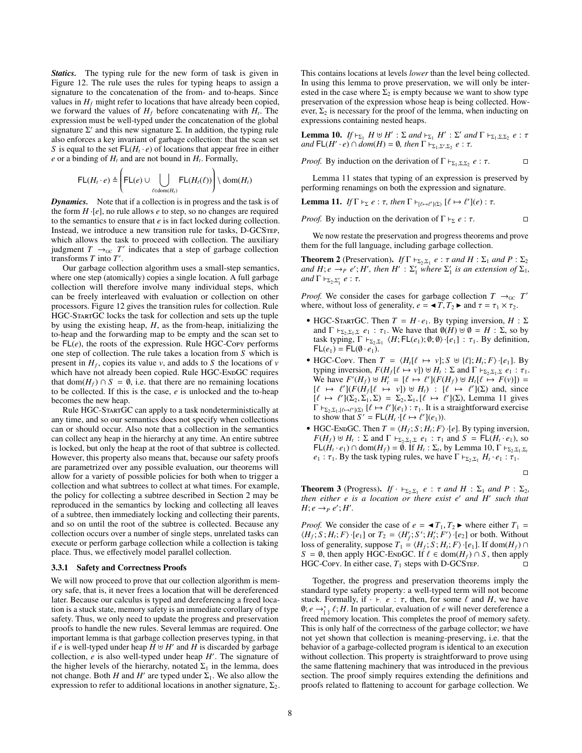*Statics.* The typing rule for the new form of task is given in Figure 12. The rule uses the rules for typing heaps to assign a signature to the concatenation of the from- and to-heaps. Since values in  $H_f$  might refer to locations that have already been copied, we forward the values of  $H_f$  before concatenating with  $H_t$ . The expression must be well-typed under the concatenation of the global signature  $\Sigma'$  and this new signature  $\Sigma$ . In addition, the typing rule also enforces a key invariant of garbage collection: that the scan set *S* is equal to the set  $FL(H_t \cdot e)$  of locations that appear free in either  $e$  or a binding of  $H_t$  and are not bound in  $H_t$ . Formally,

$$
\mathsf{FL}(H_t \cdot e) \triangleq \left(\mathsf{FL}(e) \cup \bigcup_{\ell \in \text{dom}(H_t)} \mathsf{FL}(H_t(\ell))\right) \setminus \text{dom}(H_t)
$$

*Dynamics.* Note that if a collection is in progress and the task is of the form  $H \cdot [e]$ , no rule allows  $e$  to step, so no changes are required to the semantics to ensure that *e* is in fact locked during collection. Instead, we introduce a new transition rule for tasks, D-GCSTEP, which allows the task to proceed with collection. The auxiliary judgment  $T \rightarrow_{\text{GC}} T'$  indicates that a step of garbage collection transforms  $T$  into  $T'$ .

Our garbage collection algorithm uses a small-step semantics, where one step (atomically) copies a single location. A full garbage collection will therefore involve many individual steps, which can be freely interleaved with evaluation or collection on other processors. Figure 12 gives the transition rules for collection. Rule HGC-StartGC locks the task for collection and sets up the tuple by using the existing heap, *H*, as the from-heap, initializing the to-heap and the forwarding map to be empty and the scan set to be FL(*e*), the roots of the expression. Rule HGC-Copy performs one step of collection. The rule takes a location from *S* which is present in  $H_f$ , copies its value *v*, and adds to *S* the locations of *v* which have not already been copied. Rule HGC-ENDGC requires that dom( $H_f$ ) ∩ *S* = Ø, i.e. that there are no remaining locations to be collected. If this is the case, *e* is unlocked and the to-heap becomes the new heap.

Rule HGC-StartGC can apply to a task nondeterministically at any time, and so our semantics does not specify when collections can or should occur. Also note that a collection in the semantics can collect any heap in the hierarchy at any time. An entire subtree is locked, but only the heap at the root of that subtree is collected. However, this property also means that, because our safety proofs are parametrized over any possible evaluation, our theorems will allow for a variety of possible policies for both when to trigger a collection and what subtrees to collect at what times. For example, the policy for collecting a subtree described in Section 2 may be reproduced in the semantics by locking and collecting all leaves of a subtree, then immediately locking and collecting their parents, and so on until the root of the subtree is collected. Because any collection occurs over a number of single steps, unrelated tasks can execute or perform garbage collection while a collection is taking place. Thus, we effectively model parallel collection.

#### 3.3.1 Safety and Correctness Proofs

We will now proceed to prove that our collection algorithm is memory safe, that is, it never frees a location that will be dereferenced later. Because our calculus is typed and dereferencing a freed location is a stuck state, memory safety is an immediate corollary of type safety. Thus, we only need to update the progress and preservation proofs to handle the new rules. Several lemmas are required. One important lemma is that garbage collection preserves typing, in that if *e* is well-typed under heap  $\overline{H} \oplus H'$  and  $\overline{H}$  is discarded by garbage collection,  $e$  is also well-typed under heap  $H'$ . The signature of the higher levels of the hierarchy, notated  $\Sigma_1$  in the lemma, does not change. Both *H* and *H'* are typed under  $\Sigma_1$ . We also allow the expression to refer to additional locations in another signature,  $\Sigma_2$ . This contains locations at levels *lower* than the level being collected. In using this lemma to prove preservation, we will only be interested in the case where  $\Sigma_2$  is empty because we want to show type preservation of the expression whose heap is being collected. However,  $\Sigma_2$  is necessary for the proof of the lemma, when inducting on expressions containing nested heaps.

**Lemma 10.** *If*  $\vdash_{\Sigma_1}$  *H*  $\vdash H'$  :  $\Sigma$  *and*  $\vdash_{\Sigma_1}$  *H'* :  $\Sigma'$  *and*  $\Gamma \vdash_{\Sigma_1, \Sigma, \Sigma_2}$  *e* :  $\tau$  *and*  $\vdash$   $(H' \cdot e) \cap dom(H) = \emptyset$  *then*  $\Gamma \vdash_{\Sigma_1, \Sigma, \Sigma_2}$   $e' \cdot \tau$  $\mathcal{E}$   $\mathsf{FL}(H' \cdot e) \cap \mathcal{A}$   $\mathcal{E}$   $\mathcal{E}$   $\mathcal{E}$   $\mathcal{E}$   $\mathcal{E}$   $\mathcal{E}$   $\mathcal{E}$   $\mathcal{E}$   $\mathcal{E}$   $\mathcal{E}$   $\mathcal{E}$   $\mathcal{E}$   $\mathcal{E}$   $\mathcal{E}$   $\mathcal{E}$   $\mathcal{E}$   $\mathcal{E}$   $\mathcal{E}$   $\mathcal{E}$   $\mathcal{E}$   $\mathcal{E}$ 

*Proof.* By induction on the derivation of 
$$
\Gamma \vdash_{\Sigma_1, \Sigma, \Sigma_2} e : \tau
$$
.  $\square$ 

Lemma 11 states that typing of an expression is preserved by performing renamings on both the expression and signature.

**Lemma 11.** *If*  $\Gamma \vdash_{\Sigma} e : \tau$ *, then*  $\Gamma \vdash_{[\ell \mapsto \ell'](\Sigma)} [\ell \mapsto \ell'](e) : \tau$ *.* 

*Proof.* By induction on the derivation of  $\Gamma \vdash_{\Sigma} e : \tau$ .

We now restate the preservation and progress theorems and prove them for the full language, including garbage collection.

**Theorem 2** (Preservation). *If*  $\Gamma \vdash_{\Sigma_2,\Sigma_1} e : \tau$  *and*  $H : \Sigma_1$  *and*  $P : \Sigma_2$ <br>*and*  $H : e \rightarrow_{\Sigma} e' : H'$  *then*  $H' : \Sigma'$  *where*  $\Sigma'$  *is an extension of*  $\Sigma$ . *and*  $H$ ; *e*  $\rightarrow$ *P e'*;  $H'$ , *then*  $H'$  :  $\Sigma'_{1}$  *where*  $\Sigma'_{1}$  *is an extension of*  $\Sigma_{1}$ *,*  $and \Gamma \vdash_{\Sigma_2, \Sigma'_1} e : \tau.$ 

*Proof.* We consider the cases for garbage collection  $T \rightarrow_{\text{GC}} T'$ where, without loss of generality,  $e = \langle T, T_2 \rangle$  and  $\tau = \tau_1 \times \tau_2$ .

- HGC-STARTGC. Then  $T = H \cdot e_1$ . By typing inversion,  $H : \Sigma$ and  $\Gamma \vdash_{\Sigma_2, \Sigma_1, \Sigma} e_1 : \tau_1$ . We have that  $\emptyset(H) \uplus \emptyset = H : \Sigma$ , so by task typing,  $\Gamma \vdash_{\Sigma_2, \Sigma_1} \langle H; \mathsf{FL}(e_1); \emptyset; \emptyset \rangle \cdot [e_1] : \tau_1$ . By definition,  $\mathsf{FL}(e_1) = \mathsf{FL}(\emptyset \cdot e_1)$  $FL(e_1) = FL(\emptyset \cdot e_1).$
- HGC-Copy. Then  $T = \langle H_t[\ell \mapsto v]; S \uplus {\ell}; H_t; F \rangle \cdot [e_1]$ . By typing inversion  $F(H_t[\ell \mapsto v]) \uplus H_t \cdot \Sigma$  and  $\Gamma \vdash_{\Sigma \Sigma \Sigma} e_t \cdot \tau$ . typing inversion,  $F(H_f[\ell \to v]) \uplus H_t : \Sigma$  and  $\Gamma \vdash_{\Sigma_2, \Sigma_1, \Sigma} e_1 : \tau_1$ .<br>We have  $F'(H_{\delta}) \uplus H' = [\ell \mapsto \ell'](F(H_{\delta}) \uplus H_{\epsilon}(\mu) \mapsto F(v)]) =$ We have  $F'(H_f) \uplus H_i' = [\ell \mapsto \ell'] (F(H_f) \uplus H_i [\ell \mapsto F(v)]) =$ <br> $[f \mapsto \ell'] (F(H_f) \mapsto \nu!) \uplus H_i \mapsto \ell' \upharpoonright (S)$  and since  $[\ell \mapsto \ell'](F(\hat{H}_f[\ell \mapsto v]) \cup H_t) : [\ell \mapsto \ell'](\Sigma)$  and, since  $[\ell \mapsto \ell'](S_2, \Sigma_1, \Sigma) = \Sigma_2 \Sigma_1 [\ell \mapsto \ell'](S)$ . Lemma 11 gives  $[\ell \mapsto \ell'](\Sigma_2, \Sigma_1, \Sigma) = \Sigma_2, \Sigma_1, [\ell \mapsto \ell'](\Sigma)$ , Lemma 11 gives<br> $\Gamma \vdash_{\Sigma_2, \Sigma_3, \Sigma_4} [\ell \mapsto \ell'](\ell_2) : \tau$ , It is a straightforward exercise  $\Gamma \vdash_{\Sigma_2, \Sigma_1, [\ell \mapsto \ell'](\Sigma)} [\ell \mapsto \ell'](e_1) : \tau_1$ . It is a straightforward exercise to show that  $S' = \mathsf{Fl}(H, \cdot \mathsf{lf} \mapsto \ell'(\ell \cdot))$ to show that  $S' = FL(H_t \cdot [\ell \mapsto \ell'](e_1)).$ <br>UCC EvenCC Than  $T = (H \cdot S \cdot H \cdot F)$ .
- HGC-ENDGC. Then  $T = \langle H_f; S; H_t; F \rangle \cdot [e]$ . By typing inversion,  $F(H_f) \oplus H_t : \Sigma$  and  $\Gamma \vdash_{\Sigma_2, \Sigma_1, \Sigma} e_1 : \tau_1$  and  $S = FL(H_t \cdot e_1)$ , so  $F(H_t \cdot e_1) \cap \text{dom}(H_t) = \emptyset$  if  $H_t : \Sigma_t$  by Lemma 10  $\Gamma \vdash_{\Sigma} \Sigma_t$  $FL(H_t \cdot e_1) \cap \text{dom}(H_f) = \emptyset$ . If  $H_t : \Sigma_t$ , by Lemma 10,  $\Gamma \vdash_{\Sigma_2, \Sigma_1, \Sigma_t}$ *e*<sub>1</sub> :  $\tau_1$ . By the task typing rules, we have  $\Gamma \vdash_{\Sigma_2, \Sigma_1} H_t \cdot e_1 : \tau_1$ .

$$
\Box
$$

**Theorem 3** (Progress). *If*  $\cdot \varepsilon_{2,\Sigma_1}$  *e* : *τ and H* :  $\Sigma_1$  *and P* :  $\Sigma_2$ , *then either e is a location or there exist e' and H' such that then either e is a location or there exist e* <sup>0</sup> *and H* 0 *such that*  $H$ ;  $e \rightarrow_P e$ ;  $H'$ .

*Proof.* We consider the case of  $e = \langle T_1, T_2 \rangle$  where either  $T_1 =$  $\langle H_f; S; H_i; F \rangle \cdot [e_1]$  or  $T_2 = \langle H'_f; S'; H'_i; F' \rangle \cdot [e_2]$  or both. Without loss of generality, suppose  $T_1 = \langle H_f; S; H_t; F \rangle \cdot [e_1]$ . If dom $(H_f) \cap$ *S* = Ø, then apply HGC-ENDGC. If  $\ell \in \text{dom}(H_f) \cap S$ , then apply HGC-Copy In either case  $T_i$  steps with D-GCSTEP HGC-Copy. In either case,  $T_1$  steps with D-GCSTEP.

Together, the progress and preservation theorems imply the standard type safety property: a well-typed term will not become stuck. Formally, if  $\cdot \vdash e : \tau$ , then, for some  $\ell$  and *H*, we have  $\hat{\theta}$ ;  $e \rightarrow_{\text{L}}^* f$ ; *H*. In particular, evaluation of *e* will never dereference a freed memory location. This completes the proof of memory safety freed memory location. This completes the proof of memory safety. This is only half of the correctness of the garbage collector; we have not yet shown that collection is meaning-preserving, i.e. that the behavior of a garbage-collected program is identical to an execution without collection. This property is straightforward to prove using the same flattening machinery that was introduced in the previous section. The proof simply requires extending the definitions and proofs related to flattening to account for garbage collection. We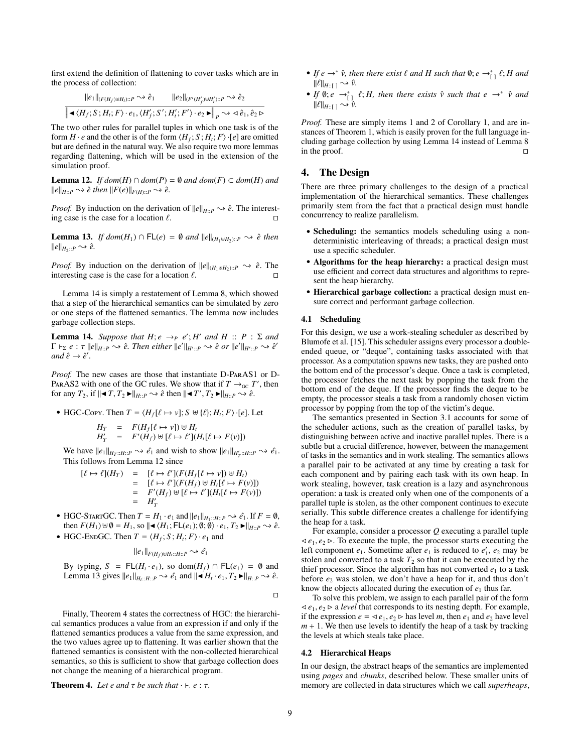first extend the definition of flattening to cover tasks which are in the process of collection:

$$
\frac{\|e_1\|_{(F(H_f)\uplus H_I):P} \rightsquigarrow \hat{e}_1}{\|\blacktriangleleft \langle H_f; S; H_i; F \rangle \cdot e_1, \langle H'_f; S'; H'_i; F' \rangle \cdot e_2 \blacktriangleright \|_P \rightsquigarrow \langle \hat{e}_1, \hat{e}_2 \triangleright
$$

The two other rules for parallel tuples in which one task is of the form  $H \cdot e$  and the other is of the form  $\langle H_f; S; H_t; F \rangle \cdot [e]$  are omitted but are defined in the natural way. We also require two more lemmas regarding flattening, which will be used in the extension of the simulation proof.

**Lemma 12.** *If dom*(*H*) ∩ *dom*(*P*) =  $\emptyset$  *and dom*(*F*) ⊂ *dom*(*H*) *and*  $||e||_{H::P} \rightsquigarrow \hat{e}$  then  $||F(e)||_{F(H):P} \rightsquigarrow \hat{e}.$ 

*Proof.* By induction on the derivation of  $||e||_{H::P} \rightarrow \hat{e}$ . The interesting case is the case for a location  $\ell$ .

**Lemma 13.** *If dom*(*H*<sub>1</sub>) ∩ FL(*e*) = ∅ *and*  $||e||_{(H_1 \uplus H_2)::P}$   $\rightarrow \hat{e}$  *then*  $\|\theta\|_{H_2::P} \rightsquigarrow \hat{e}.$ 

*Proof.* By induction on the derivation of  $||e||_{(H_1 \oplus H_2)::P} \rightarrow \hat{e}$ . The interesting case is the case for a location  $\ell$ .

Lemma 14 is simply a restatement of Lemma 8, which showed that a step of the hierarchical semantics can be simulated by zero or one steps of the flattened semantics. The lemma now includes garbage collection steps.

**Lemma 14.** *Suppose that*  $H$ ;  $e \rightarrow_P e'$ ;  $H'$  *and*  $H :: P : \Sigma$  *and*  $\Gamma \vdash_{\Sigma} e : \tau ||e||_{H::P} \leadsto \hat{e}$ . Then either  $||e'||_{H':P} \leadsto \hat{e}$  or  $||e'||_{H':P} \leadsto \hat{e}'$  $and \hat{e} \rightarrow \hat{e}'$ .

*Proof.* The new cases are those that instantiate D-ParAS1 or D-PARAS2 with one of the GC rules. We show that if  $T \rightarrow_{\text{GC}} T'$ , then for any  $T_2$ , if  $\|\blacktriangleleft T, T_2 \blacktriangleright \|_{H::P} \rightsquigarrow \hat{e}$  then  $\|\blacktriangleleft T', T_2 \blacktriangleright \|_{H::P} \rightsquigarrow \hat{e}$ .

• HGC-Cory. Then 
$$
T = \langle H_f[\ell \mapsto v]; S \uplus \{\ell\}; H_i; F \rangle \cdot [e]
$$
. Let

$$
H_T = F(H_f[\ell \to v]) \uplus H_t
$$
  

$$
H_T' = F'(H_f) \uplus [\ell \to \ell'] (H_t[\ell \to F(v)])
$$

We have  $||e_1||_{H_T::H::P} \rightarrow \hat{e_1}$  and wish to show  $||e_1||_{H_T':H::P} \rightarrow \hat{e_1}$ . This follows from Lemma 12 since

$$
\begin{array}{rcl}\n[\ell \mapsto \ell](H_T) & = & [\ell \mapsto \ell'](F(H_f[\ell \mapsto v]) \uplus H_t) \\
& = & [\ell \mapsto \ell'](F(H_f) \uplus H_t[\ell \mapsto F(v)]) \\
& = & F'(H_f) \uplus [\ell \mapsto \ell'](H_t[\ell \mapsto F(v)]) \\
& = & H'_T\n\end{array}
$$

- HGC-STARTGC. Then  $T = H_1 \cdot e_1$  and  $||e_1||_{H_1::H::P} \sim e_1$ . If  $F = \emptyset$ , then  $F(H_1) \uplus \emptyset = H_1$ , so  $\|\blacktriangleleft \langle H_1; \mathsf{FL}(e_1); \emptyset; \emptyset \rangle \cdot e_1, T_2 \blacktriangleright \|_{H \cup P} \rightsquigarrow \hat{e}.$
- HGC-ENDGC. Then  $T = \langle H_f; S; H_t; F \rangle \cdot e_1$  and

$$
||e_1||_{F(H_f)\uplus H_t::H::P} \leadsto \hat{e_1}
$$

By typing,  $S = FL(H_t \cdot e_1)$ , so dom $(H_f) \cap FL(e_1) = \emptyset$  and Lemma 13 gives  $||e_1||_{H_t:H:H:P} \rightarrow \hat{e}_1$  and  $||\blacktriangleleft H_t \cdot e_1, T_2 \blacktriangleright ||_{H:H} \rightarrow \hat{e}_2$ .

 $\Box$ 

Finally, Theorem 4 states the correctness of HGC: the hierarchical semantics produces a value from an expression if and only if the flattened semantics produces a value from the same expression, and the two values agree up to flattening. It was earlier shown that the flattened semantics is consistent with the non-collected hierarchical semantics, so this is sufficient to show that garbage collection does not change the meaning of a hierarchical program.

**Theorem 4.** Let e and  $\tau$  be such that  $\cdot \vdash e : \tau$ .

- *If*  $e \rightarrow^* \hat{v}$ , then there exist  $\ell$  and  $H$  such that  $\emptyset$ ;  $e \rightarrow^*_{\mathfrak{l}} \ell$ ;  $H$  and  $\mathfrak{l}(\ell |_{v \times \mathfrak{l}} \rightarrow^* \mathfrak{d})$
- $\|f\|_{H:\{1 \to \infty\}} \to \hat{v}.$ <br>
*If* **0**; *e* →<sup>∗</sup><sub>1</sub></sup> *t*; *H*, then there exists  $\hat{v}$  *such that*  $e \to^* \hat{v}$  *and*<br>  $\|f\|_{L^p(\Omega)} \to \hat{v}$  $\|\ell\|_{H:}$   $\rightarrow \overline{\hat{v}}.$

*Proof.* These are simply items 1 and 2 of Corollary 1, and are instances of Theorem 1, which is easily proven for the full language including garbage collection by using Lemma 14 instead of Lemma 8 in the proof.

# 4. The Design

There are three primary challenges to the design of a practical implementation of the hierarchical semantics. These challenges primarily stem from the fact that a practical design must handle concurrency to realize parallelism.

- Scheduling: the semantics models scheduling using a nondeterministic interleaving of threads; a practical design must use a specific scheduler.
- Algorithms for the heap hierarchy: a practical design must use efficient and correct data structures and algorithms to represent the heap hierarchy.
- Hierarchical garbage collection: a practical design must ensure correct and performant garbage collection.

#### 4.1 Scheduling

For this design, we use a work-stealing scheduler as described by Blumofe et al. [15]. This scheduler assigns every processor a doubleended queue, or "deque", containing tasks associated with that processor. As a computation spawns new tasks, they are pushed onto the bottom end of the processor's deque. Once a task is completed, the processor fetches the next task by popping the task from the bottom end of the deque. If the processor finds the deque to be empty, the processor steals a task from a randomly chosen victim processor by popping from the top of the victim's deque.

The semantics presented in Section 3.1 accounts for some of the scheduler actions, such as the creation of parallel tasks, by distinguishing between active and inactive parallel tuples. There is a subtle but a crucial difference, however, between the management of tasks in the semantics and in work stealing. The semantics allows a parallel pair to be activated at any time by creating a task for each component and by pairing each task with its own heap. In work stealing, however, task creation is a lazy and asynchronous operation: a task is created only when one of the components of a parallel tuple is stolen, as the other component continues to execute serially. This subtle difference creates a challenge for identifying the heap for a task.

For example, consider a processor *Q* executing a parallel tuple  $\triangleleft e_1, e_2 \triangleright$ . To execute the tuple, the processor starts executing the left component  $e_1$ . Sometime after  $e_1$  is reduced to  $e'_1$ ,  $e_2$  may be stolen and converted to a task  $T_2$  so that it can be executed by the thief processor. Since the algorithm has not converted  $e_1$  to a task before  $e_2$  was stolen, we don't have a heap for it, and thus don't know the objects allocated during the execution of  $e_1$  thus far.

To solve this problem, we assign to each parallel pair of the form  $\langle e_1, e_2 \rangle$  a *level* that corresponds to its nesting depth. For example, if the expression  $e = \langle e_1, e_2 \rangle$  has level *m*, then  $e_1$  and  $e_2$  have level  $m + 1$ . We then use levels to identify the heap of a task by tracking the levels at which steals take place.

### 4.2 Hierarchical Heaps

In our design, the abstract heaps of the semantics are implemented using *pages* and *chunks*, described below. These smaller units of memory are collected in data structures which we call *superheaps*,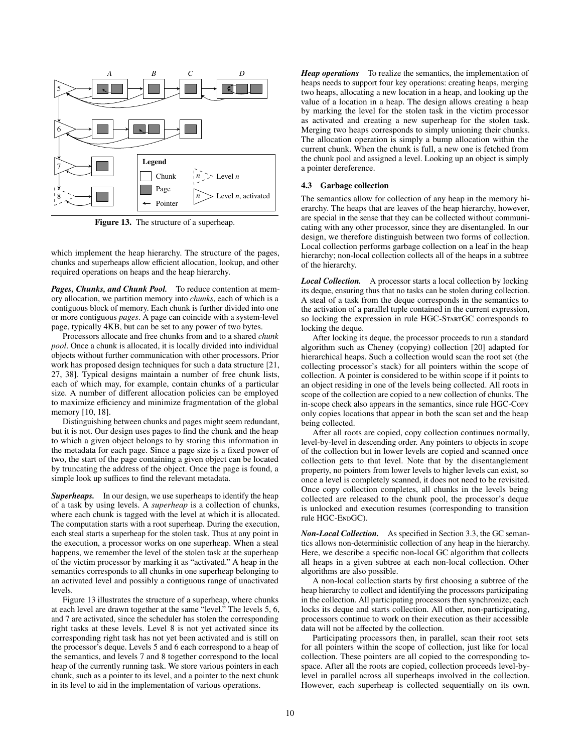

Figure 13. The structure of a superheap.

which implement the heap hierarchy. The structure of the pages, chunks and superheaps allow efficient allocation, lookup, and other required operations on heaps and the heap hierarchy.

*Pages, Chunks, and Chunk Pool.* To reduce contention at memory allocation, we partition memory into *chunks*, each of which is a contiguous block of memory. Each chunk is further divided into one or more contiguous *pages*. A page can coincide with a system-level page, typically 4KB, but can be set to any power of two bytes.

Processors allocate and free chunks from and to a shared *chunk pool*. Once a chunk is allocated, it is locally divided into individual objects without further communication with other processors. Prior work has proposed design techniques for such a data structure [21, 27, 38]. Typical designs maintain a number of free chunk lists, each of which may, for example, contain chunks of a particular size. A number of different allocation policies can be employed to maximize efficiency and minimize fragmentation of the global memory [10, 18].

Distinguishing between chunks and pages might seem redundant, but it is not. Our design uses pages to find the chunk and the heap to which a given object belongs to by storing this information in the metadata for each page. Since a page size is a fixed power of two, the start of the page containing a given object can be located by truncating the address of the object. Once the page is found, a simple look up suffices to find the relevant metadata.

*Superheaps.* In our design, we use superheaps to identify the heap of a task by using levels. A *superheap* is a collection of chunks, where each chunk is tagged with the level at which it is allocated. The computation starts with a root superheap. During the execution, each steal starts a superheap for the stolen task. Thus at any point in the execution, a processor works on one superheap. When a steal happens, we remember the level of the stolen task at the superheap of the victim processor by marking it as "activated." A heap in the semantics corresponds to all chunks in one superheap belonging to an activated level and possibly a contiguous range of unactivated levels.

Figure 13 illustrates the structure of a superheap, where chunks at each level are drawn together at the same "level." The levels 5, 6, and 7 are activated, since the scheduler has stolen the corresponding right tasks at these levels. Level 8 is not yet activated since its corresponding right task has not yet been activated and is still on the processor's deque. Levels 5 and 6 each correspond to a heap of the semantics, and levels 7 and 8 together correspond to the local heap of the currently running task. We store various pointers in each chunk, such as a pointer to its level, and a pointer to the next chunk in its level to aid in the implementation of various operations.

*Heap operations* To realize the semantics, the implementation of heaps needs to support four key operations: creating heaps, merging two heaps, allocating a new location in a heap, and looking up the value of a location in a heap. The design allows creating a heap by marking the level for the stolen task in the victim processor as activated and creating a new superheap for the stolen task. Merging two heaps corresponds to simply unioning their chunks. The allocation operation is simply a bump allocation within the current chunk. When the chunk is full, a new one is fetched from the chunk pool and assigned a level. Looking up an object is simply a pointer dereference.

#### 4.3 Garbage collection

The semantics allow for collection of any heap in the memory hierarchy. The heaps that are leaves of the heap hierarchy, however, are special in the sense that they can be collected without communicating with any other processor, since they are disentangled. In our design, we therefore distinguish between two forms of collection. Local collection performs garbage collection on a leaf in the heap hierarchy; non-local collection collects all of the heaps in a subtree of the hierarchy.

*Local Collection.* A processor starts a local collection by locking its deque, ensuring thus that no tasks can be stolen during collection. A steal of a task from the deque corresponds in the semantics to the activation of a parallel tuple contained in the current expression, so locking the expression in rule HGC-STARTGC corresponds to locking the deque.

After locking its deque, the processor proceeds to run a standard algorithm such as Cheney (copying) collection [20] adapted for hierarchical heaps. Such a collection would scan the root set (the collecting processor's stack) for all pointers within the scope of collection. A pointer is considered to be within scope if it points to an object residing in one of the levels being collected. All roots in scope of the collection are copied to a new collection of chunks. The in-scope check also appears in the semantics, since rule HGC-Copy only copies locations that appear in both the scan set and the heap being collected.

After all roots are copied, copy collection continues normally, level-by-level in descending order. Any pointers to objects in scope of the collection but in lower levels are copied and scanned once collection gets to that level. Note that by the disentanglement property, no pointers from lower levels to higher levels can exist, so once a level is completely scanned, it does not need to be revisited. Once copy collection completes, all chunks in the levels being collected are released to the chunk pool, the processor's deque is unlocked and execution resumes (corresponding to transition rule HGC-ENDGC).

*Non-Local Collection.* As specified in Section 3.3, the GC semantics allows non-deterministic collection of any heap in the hierarchy. Here, we describe a specific non-local GC algorithm that collects all heaps in a given subtree at each non-local collection. Other algorithms are also possible.

A non-local collection starts by first choosing a subtree of the heap hierarchy to collect and identifying the processors participating in the collection. All participating processors then synchronize; each locks its deque and starts collection. All other, non-participating, processors continue to work on their execution as their accessible data will not be affected by the collection.

Participating processors then, in parallel, scan their root sets for all pointers within the scope of collection, just like for local collection. These pointers are all copied to the corresponding tospace. After all the roots are copied, collection proceeds level-bylevel in parallel across all superheaps involved in the collection. However, each superheap is collected sequentially on its own.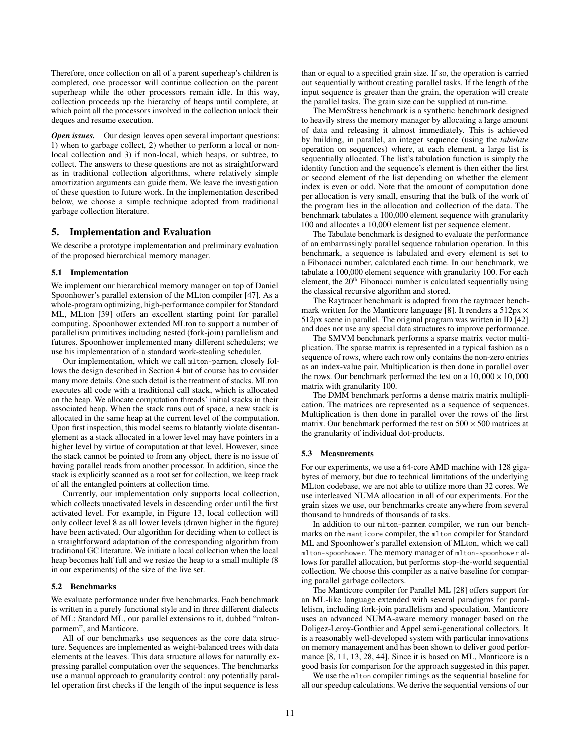Therefore, once collection on all of a parent superheap's children is completed, one processor will continue collection on the parent superheap while the other processors remain idle. In this way, collection proceeds up the hierarchy of heaps until complete, at which point all the processors involved in the collection unlock their deques and resume execution.

*Open issues.* Our design leaves open several important questions: 1) when to garbage collect, 2) whether to perform a local or nonlocal collection and 3) if non-local, which heaps, or subtree, to collect. The answers to these questions are not as straightforward as in traditional collection algorithms, where relatively simple amortization arguments can guide them. We leave the investigation of these question to future work. In the implementation described below, we choose a simple technique adopted from traditional garbage collection literature.

#### 5. Implementation and Evaluation

We describe a prototype implementation and preliminary evaluation of the proposed hierarchical memory manager.

#### 5.1 Implementation

We implement our hierarchical memory manager on top of Daniel Spoonhower's parallel extension of the MLton compiler [47]. As a whole-program optimizing, high-performance compiler for Standard ML, MLton [39] offers an excellent starting point for parallel computing. Spoonhower extended MLton to support a number of parallelism primitives including nested (fork-join) parallelism and futures. Spoonhower implemented many different schedulers; we use his implementation of a standard work-stealing scheduler.

Our implementation, which we call mlton-parmem, closely follows the design described in Section 4 but of course has to consider many more details. One such detail is the treatment of stacks. MLton executes all code with a traditional call stack, which is allocated on the heap. We allocate computation threads' initial stacks in their associated heap. When the stack runs out of space, a new stack is allocated in the same heap at the current level of the computation. Upon first inspection, this model seems to blatantly violate disentanglement as a stack allocated in a lower level may have pointers in a higher level by virtue of computation at that level. However, since the stack cannot be pointed to from any object, there is no issue of having parallel reads from another processor. In addition, since the stack is explicitly scanned as a root set for collection, we keep track of all the entangled pointers at collection time.

Currently, our implementation only supports local collection, which collects unactivated levels in descending order until the first activated level. For example, in Figure 13, local collection will only collect level 8 as all lower levels (drawn higher in the figure) have been activated. Our algorithm for deciding when to collect is a straightforward adaptation of the corresponding algorithm from traditional GC literature. We initiate a local collection when the local heap becomes half full and we resize the heap to a small multiple (8 in our experiments) of the size of the live set.

#### 5.2 Benchmarks

We evaluate performance under five benchmarks. Each benchmark is written in a purely functional style and in three different dialects of ML: Standard ML, our parallel extensions to it, dubbed "mltonparmem", and Manticore.

All of our benchmarks use sequences as the core data structure. Sequences are implemented as weight-balanced trees with data elements at the leaves. This data structure allows for naturally expressing parallel computation over the sequences. The benchmarks use a manual approach to granularity control: any potentially parallel operation first checks if the length of the input sequence is less

than or equal to a specified grain size. If so, the operation is carried out sequentially without creating parallel tasks. If the length of the input sequence is greater than the grain, the operation will create the parallel tasks. The grain size can be supplied at run-time.

The MemStress benchmark is a synthetic benchmark designed to heavily stress the memory manager by allocating a large amount of data and releasing it almost immediately. This is achieved by building, in parallel, an integer sequence (using the *tabulate* operation on sequences) where, at each element, a large list is sequentially allocated. The list's tabulation function is simply the identity function and the sequence's element is then either the first or second element of the list depending on whether the element index is even or odd. Note that the amount of computation done per allocation is very small, ensuring that the bulk of the work of the program lies in the allocation and collection of the data. The benchmark tabulates a 100,000 element sequence with granularity 100 and allocates a 10,000 element list per sequence element.

The Tabulate benchmark is designed to evaluate the performance of an embarrassingly parallel sequence tabulation operation. In this benchmark, a sequence is tabulated and every element is set to a Fibonacci number, calculated each time. In our benchmark, we tabulate a 100,000 element sequence with granularity 100. For each element, the 20<sup>th</sup> Fibonacci number is calculated sequentially using the classical recursive algorithm and stored.

The Raytracer benchmark is adapted from the raytracer benchmark written for the Manticore language [8]. It renders a  $512px \times$ 512px scene in parallel. The original program was written in ID [42] and does not use any special data structures to improve performance.

The SMVM benchmark performs a sparse matrix vector multiplication. The sparse matrix is represented in a typical fashion as a sequence of rows, where each row only contains the non-zero entries as an index-value pair. Multiplication is then done in parallel over the rows. Our benchmark performed the test on a  $10,000 \times 10,000$ matrix with granularity 100.

The DMM benchmark performs a dense matrix matrix multiplication. The matrices are represented as a sequence of sequences. Multiplication is then done in parallel over the rows of the first matrix. Our benchmark performed the test on  $500 \times 500$  matrices at the granularity of individual dot-products.

#### 5.3 Measurements

For our experiments, we use a 64-core AMD machine with 128 gigabytes of memory, but due to technical limitations of the underlying MLton codebase, we are not able to utilize more than 32 cores. We use interleaved NUMA allocation in all of our experiments. For the grain sizes we use, our benchmarks create anywhere from several thousand to hundreds of thousands of tasks.

In addition to our mlton-parmem compiler, we run our benchmarks on the manticore compiler, the mlton compiler for Standard ML and Spoonhower's parallel extension of MLton, which we call mlton-spoonhower. The memory manager of mlton-spoonhower allows for parallel allocation, but performs stop-the-world sequential collection. We choose this compiler as a naïve baseline for comparing parallel garbage collectors.

The Manticore compiler for Parallel ML [28] offers support for an ML-like language extended with several paradigms for parallelism, including fork-join parallelism and speculation. Manticore uses an advanced NUMA-aware memory manager based on the Doligez-Leroy-Gonthier and Appel semi-generational collectors. It is a reasonably well-developed system with particular innovations on memory management and has been shown to deliver good performance [8, 11, 13, 28, 44]. Since it is based on ML, Manticore is a good basis for comparison for the approach suggested in this paper.

We use the mlton compiler timings as the sequential baseline for all our speedup calculations. We derive the sequential versions of our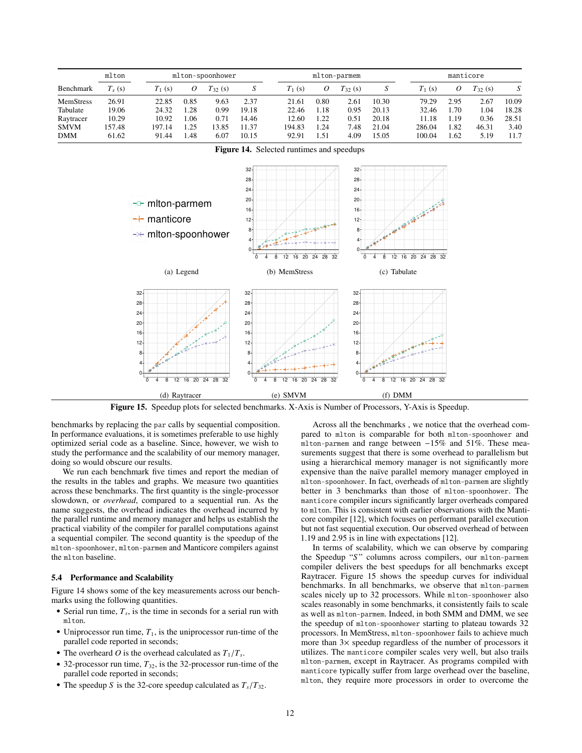|                  | mlton    |           | mlton-spoonhower |              |       | mlton-parmem |      |             |       | manticore |      |              |       |
|------------------|----------|-----------|------------------|--------------|-------|--------------|------|-------------|-------|-----------|------|--------------|-------|
| Benchmark        | $T_s(s)$ | $T_1$ (s) | 0                | $T_{32}$ (s) |       | $T_1$ (s)    | О    | $T_{32}(s)$ |       | $T_1$ (s) | 0    | $T_{32}$ (s) |       |
| <b>MemStress</b> | 26.91    | 22.85     | 0.85             | 9.63         | 2.37  | 21.61        | 0.80 | 2.61        | 10.30 | 79.29     | 2.95 | 2.67         | 10.09 |
| Tabulate         | 19.06    | 24.32     | 1.28             | 0.99         | 19.18 | 22.46        | 1.18 | 0.95        | 20.13 | 32.46     | 1.70 | 1.04         | 18.28 |
| Raytracer        | 10.29    | 10.92     | 0.06             | 0.71         | 14.46 | 12.60        | 1.22 | 0.51        | 20.18 | 11.18     | 1.19 | 0.36         | 28.51 |
| <b>SMVM</b>      | 157.48   | 197.14    | 1.25             | 13.85        | 11.37 | 194.83       | 1.24 | 7.48        | 21.04 | 286.04    | 1.82 | 46.31        | 3.40  |
| <b>DMM</b>       | 61.62    | 91.44     | l.48             | 6.07         | 10.15 | 92.91        | 1.51 | 4.09        | 15.05 | 100.04    | .62  | 5.19         | 11.7  |



Figure 14. Selected runtimes and speedups

Figure 15. Speedup plots for selected benchmarks. X-Axis is Number of Processors, Y-Axis is Speedup.

benchmarks by replacing the par calls by sequential composition. In performance evaluations, it is sometimes preferable to use highly optimized serial code as a baseline. Since, however, we wish to study the performance and the scalability of our memory manager, doing so would obscure our results.

We run each benchmark five times and report the median of the results in the tables and graphs. We measure two quantities across these benchmarks. The first quantity is the single-processor slowdown, or *overhead*, compared to a sequential run. As the name suggests, the overhead indicates the overhead incurred by the parallel runtime and memory manager and helps us establish the practical viability of the compiler for parallel computations against a sequential compiler. The second quantity is the speedup of the mlton-spoonhower, mlton-parmem and Manticore compilers against the mlton baseline.

### 5.4 Performance and Scalability

Figure 14 shows some of the key measurements across our benchmarks using the following quantities.

- Serial run time,  $T_s$ , is the time in seconds for a serial run with mlton.
- Uniprocessor run time,  $T_1$ , is the uniprocessor run-time of the parallel code reported in seconds;
- The overheard *O* is the overhead calculated as  $T_1/T_s$ .
- 32-processor run time,  $T_{32}$ , is the 32-processor run-time of the parallel code reported in seconds;
- The speedup *S* is the 32-core speedup calculated as  $T_s/T_{32}$ .

Across all the benchmarks , we notice that the overhead compared to mlton is comparable for both mlton-spoonhower and mlton-parmem and range between −15% and 51%. These measurements suggest that there is some overhead to parallelism but using a hierarchical memory manager is not significantly more expensive than the naïve parallel memory manager employed in mlton-spoonhower. In fact, overheads of mlton-parmem are slightly better in 3 benchmarks than those of mlton-spoonhower. The manticore compiler incurs significantly larger overheads compared to mlton. This is consistent with earlier observations with the Manticore compiler [12], which focuses on performant parallel execution but not fast sequential execution. Our observed overhead of between <sup>1</sup>.19 and 2.95 is in line with expectations [12].

In terms of scalability, which we can observe by comparing the Speedup "*S* " columns across compilers, our mlton-parmem compiler delivers the best speedups for all benchmarks except Raytracer. Figure 15 shows the speedup curves for individual benchmarks. In all benchmarks, we observe that mlton-parmem scales nicely up to 32 processors. While mlton-spoonhower also scales reasonably in some benchmarks, it consistently fails to scale as well as mlton-parmem. Indeed, in both SMM and DMM, we see the speedup of mlton-spoonhower starting to plateau towards 32 processors. In MemStress, mlton-spoonhower fails to achieve much more than 3× speedup regardless of the number of processors it utilizes. The manticore compiler scales very well, but also trails mlton-parmem, except in Raytracer. As programs compiled with manticore typically suffer from large overhead over the baseline, mlton, they require more processors in order to overcome the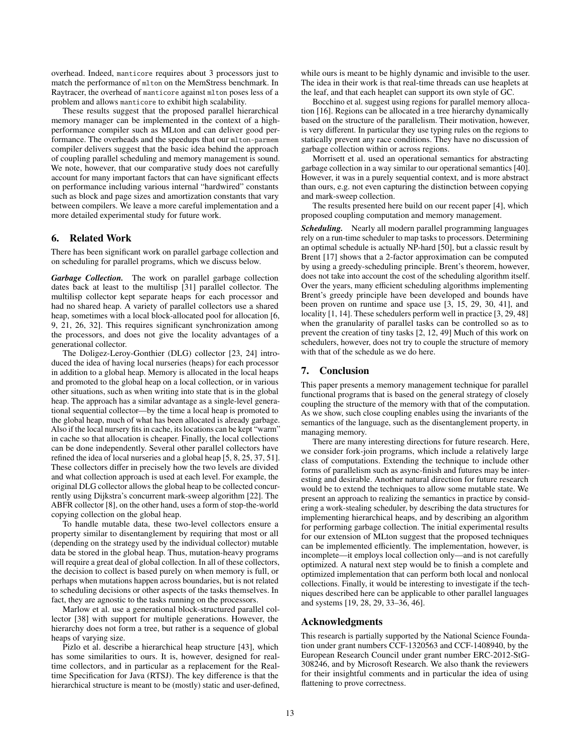overhead. Indeed, manticore requires about 3 processors just to match the performance of mlton on the MemStress benchmark. In Raytracer, the overhead of manticore against mlton poses less of a problem and allows manticore to exhibit high scalability.

These results suggest that the proposed parallel hierarchical memory manager can be implemented in the context of a highperformance compiler such as MLton and can deliver good performance. The overheads and the speedups that our mlton-parmem compiler delivers suggest that the basic idea behind the approach of coupling parallel scheduling and memory management is sound. We note, however, that our comparative study does not carefully account for many important factors that can have significant effects on performance including various internal "hardwired" constants such as block and page sizes and amortization constants that vary between compilers. We leave a more careful implementation and a more detailed experimental study for future work.

# 6. Related Work

There has been significant work on parallel garbage collection and on scheduling for parallel programs, which we discuss below.

*Garbage Collection.* The work on parallel garbage collection dates back at least to the multilisp [31] parallel collector. The multilisp collector kept separate heaps for each processor and had no shared heap. A variety of parallel collectors use a shared heap, sometimes with a local block-allocated pool for allocation [6, 9, 21, 26, 32]. This requires significant synchronization among the processors, and does not give the locality advantages of a generational collector.

The Doligez-Leroy-Gonthier (DLG) collector [23, 24] introduced the idea of having local nurseries (heaps) for each processor in addition to a global heap. Memory is allocated in the local heaps and promoted to the global heap on a local collection, or in various other situations, such as when writing into state that is in the global heap. The approach has a similar advantage as a single-level generational sequential collector—by the time a local heap is promoted to the global heap, much of what has been allocated is already garbage. Also if the local nursery fits in cache, its locations can be kept "warm" in cache so that allocation is cheaper. Finally, the local collections can be done independently. Several other parallel collectors have refined the idea of local nurseries and a global heap [5, 8, 25, 37, 51]. These collectors differ in precisely how the two levels are divided and what collection approach is used at each level. For example, the original DLG collector allows the global heap to be collected concurrently using Dijkstra's concurrent mark-sweep algorithm [22]. The ABFR collector [8], on the other hand, uses a form of stop-the-world copying collection on the global heap.

To handle mutable data, these two-level collectors ensure a property similar to disentanglement by requiring that most or all (depending on the strategy used by the individual collector) mutable data be stored in the global heap. Thus, mutation-heavy programs will require a great deal of global collection. In all of these collectors, the decision to collect is based purely on when memory is full, or perhaps when mutations happen across boundaries, but is not related to scheduling decisions or other aspects of the tasks themselves. In fact, they are agnostic to the tasks running on the processors.

Marlow et al. use a generational block-structured parallel collector [38] with support for multiple generations. However, the hierarchy does not form a tree, but rather is a sequence of global heaps of varying size.

Pizlo et al. describe a hierarchical heap structure [43], which has some similarities to ours. It is, however, designed for realtime collectors, and in particular as a replacement for the Realtime Specification for Java (RTSJ). The key difference is that the hierarchical structure is meant to be (mostly) static and user-defined,

while ours is meant to be highly dynamic and invisible to the user. The idea in their work is that real-time threads can use heaplets at the leaf, and that each heaplet can support its own style of GC.

Bocchino et al. suggest using regions for parallel memory allocation [16]. Regions can be allocated in a tree hierarchy dynamically based on the structure of the parallelism. Their motivation, however, is very different. In particular they use typing rules on the regions to statically prevent any race conditions. They have no discussion of garbage collection within or across regions.

Morrisett et al. used an operational semantics for abstracting garbage collection in a way similar to our operational semantics [40]. However, it was in a purely sequential context, and is more abstract than ours, e.g. not even capturing the distinction between copying and mark-sweep collection.

The results presented here build on our recent paper [4], which proposed coupling computation and memory management.

*Scheduling.* Nearly all modern parallel programming languages rely on a run-time scheduler to map tasks to processors. Determining an optimal schedule is actually NP-hard [50], but a classic result by Brent [17] shows that a 2-factor approximation can be computed by using a greedy-scheduling principle. Brent's theorem, however, does not take into account the cost of the scheduling algorithm itself. Over the years, many efficient scheduling algorithms implementing Brent's greedy principle have been developed and bounds have been proven on runtime and space use [3, 15, 29, 30, 41], and locality [1, 14]. These schedulers perform well in practice [3, 29, 48] when the granularity of parallel tasks can be controlled so as to prevent the creation of tiny tasks [2, 12, 49] Much of this work on schedulers, however, does not try to couple the structure of memory with that of the schedule as we do here.

# 7. Conclusion

This paper presents a memory management technique for parallel functional programs that is based on the general strategy of closely coupling the structure of the memory with that of the computation. As we show, such close coupling enables using the invariants of the semantics of the language, such as the disentanglement property, in managing memory.

There are many interesting directions for future research. Here, we consider fork-join programs, which include a relatively large class of computations. Extending the technique to include other forms of parallelism such as async-finish and futures may be interesting and desirable. Another natural direction for future research would be to extend the techniques to allow some mutable state. We present an approach to realizing the semantics in practice by considering a work-stealing scheduler, by describing the data structures for implementing hierarchical heaps, and by describing an algorithm for performing garbage collection. The initial experimental results for our extension of MLton suggest that the proposed techniques can be implemented efficiently. The implementation, however, is incomplete—it employs local collection only—and is not carefully optimized. A natural next step would be to finish a complete and optimized implementation that can perform both local and nonlocal collections. Finally, it would be interesting to investigate if the techniques described here can be applicable to other parallel languages and systems [19, 28, 29, 33–36, 46].

# Acknowledgments

This research is partially supported by the National Science Foundation under grant numbers CCF-1320563 and CCF-1408940, by the European Research Council under grant number ERC-2012-StG-308246, and by Microsoft Research. We also thank the reviewers for their insightful comments and in particular the idea of using flattening to prove correctness.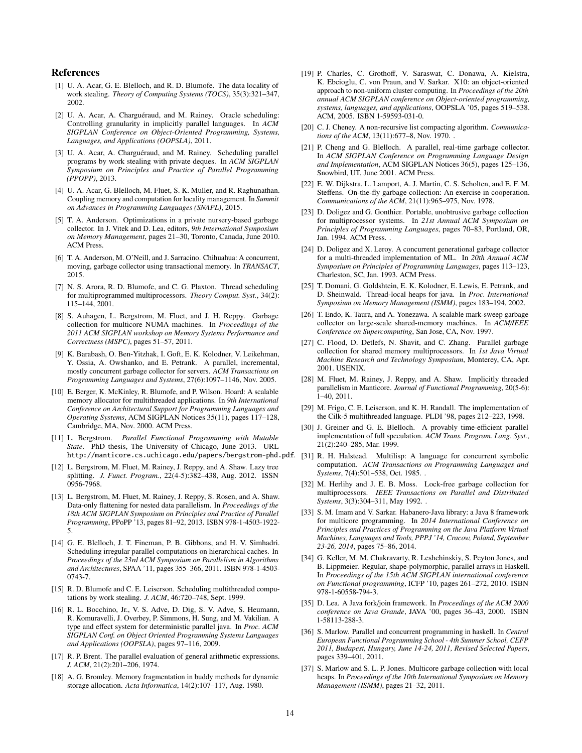# References

- [1] U. A. Acar, G. E. Blelloch, and R. D. Blumofe. The data locality of work stealing. *Theory of Computing Systems (TOCS)*, 35(3):321–347, 2002.
- [2] U. A. Acar, A. Charguéraud, and M. Rainey. Oracle scheduling: Controlling granularity in implicitly parallel languages. In *ACM SIGPLAN Conference on Object-Oriented Programming, Systems, Languages, and Applications (OOPSLA)*, 2011.
- [3] U. A. Acar, A. Charguéraud, and M. Rainey. Scheduling parallel programs by work stealing with private deques. In *ACM SIGPLAN Symposium on Principles and Practice of Parallel Programming (PPOPP)*, 2013.
- [4] U. A. Acar, G. Blelloch, M. Fluet, S. K. Muller, and R. Raghunathan. Coupling memory and computation for locality management. In *Summit on Advances in Programming Languages (SNAPL)*, 2015.
- [5] T. A. Anderson. Optimizations in a private nursery-based garbage collector. In J. Vitek and D. Lea, editors, *9th International Symposium on Memory Management*, pages 21–30, Toronto, Canada, June 2010. ACM Press.
- [6] T. A. Anderson, M. O'Neill, and J. Sarracino. Chihuahua: A concurrent, moving, garbage collector using transactional memory. In *TRANSACT*, 2015.
- [7] N. S. Arora, R. D. Blumofe, and C. G. Plaxton. Thread scheduling for multiprogrammed multiprocessors. *Theory Comput. Syst.*, 34(2): 115–144, 2001.
- [8] S. Auhagen, L. Bergstrom, M. Fluet, and J. H. Reppy. Garbage collection for multicore NUMA machines. In *Proceedings of the 2011 ACM SIGPLAN workshop on Memory Systems Performance and Correctness (MSPC)*, pages 51–57, 2011.
- [9] K. Barabash, O. Ben-Yitzhak, I. Goft, E. K. Kolodner, V. Leikehman, Y. Ossia, A. Owshanko, and E. Petrank. A parallel, incremental, mostly concurrent garbage collector for servers. *ACM Transactions on Programming Languages and Systems*, 27(6):1097–1146, Nov. 2005.
- [10] E. Berger, K. McKinley, R. Blumofe, and P. Wilson. Hoard: A scalable memory allocator for multithreaded applications. In *9th International Conference on Architectural Support for Programming Languages and Operating Systems*, ACM SIGPLAN Notices 35(11), pages 117–128, Cambridge, MA, Nov. 2000. ACM Press.
- [11] L. Bergstrom. *Parallel Functional Programming with Mutable State*. PhD thesis, The University of Chicago, June 2013. URL
- [12] L. Bergstrom, M. Fluet, M. Rainey, J. Reppy, and A. Shaw. Lazy tree splitting. *J. Funct. Program.*, 22(4-5):382–438, Aug. 2012. ISSN 0956-7968.
- [13] L. Bergstrom, M. Fluet, M. Rainey, J. Reppy, S. Rosen, and A. Shaw. Data-only flattening for nested data parallelism. In *Proceedings of the 18th ACM SIGPLAN Symposium on Principles and Practice of Parallel Programming*, PPoPP '13, pages 81–92, 2013. ISBN 978-1-4503-1922- 5.
- [14] G. E. Blelloch, J. T. Fineman, P. B. Gibbons, and H. V. Simhadri. Scheduling irregular parallel computations on hierarchical caches. In *Proceedings of the 23rd ACM Symposium on Parallelism in Algorithms and Architectures*, SPAA '11, pages 355–366, 2011. ISBN 978-1-4503- 0743-7.
- [15] R. D. Blumofe and C. E. Leiserson. Scheduling multithreaded computations by work stealing. *J. ACM*, 46:720–748, Sept. 1999.
- [16] R. L. Bocchino, Jr., V. S. Adve, D. Dig, S. V. Adve, S. Heumann, R. Komuravelli, J. Overbey, P. Simmons, H. Sung, and M. Vakilian. A type and effect system for deterministic parallel java. In *Proc. ACM SIGPLAN Conf. on Object Oriented Programming Systems Languages and Applications (OOPSLA)*, pages 97–116, 2009.
- [17] R. P. Brent. The parallel evaluation of general arithmetic expressions. *J. ACM*, 21(2):201–206, 1974.
- [18] A. G. Bromley. Memory fragmentation in buddy methods for dynamic storage allocation. *Acta Informatica*, 14(2):107–117, Aug. 1980.
- [19] P. Charles, C. Grothoff, V. Saraswat, C. Donawa, A. Kielstra, K. Ebcioglu, C. von Praun, and V. Sarkar. X10: an object-oriented approach to non-uniform cluster computing. In *Proceedings of the 20th annual ACM SIGPLAN conference on Object-oriented programming, systems, languages, and applications*, OOPSLA '05, pages 519–538. ACM, 2005. ISBN 1-59593-031-0.
- [20] C. J. Cheney. A non-recursive list compacting algorithm. *Communications of the ACM*, 13(11):677–8, Nov. 1970. .
- [21] P. Cheng and G. Blelloch. A parallel, real-time garbage collector. In *ACM SIGPLAN Conference on Programming Language Design and Implementation*, ACM SIGPLAN Notices 36(5), pages 125–136, Snowbird, UT, June 2001. ACM Press.
- [22] E. W. Dijkstra, L. Lamport, A. J. Martin, C. S. Scholten, and E. F. M. Steffens. On-the-fly garbage collection: An exercise in cooperation. *Communications of the ACM*, 21(11):965–975, Nov. 1978.
- [23] D. Doligez and G. Gonthier. Portable, unobtrusive garbage collection for multiprocessor systems. In *21st Annual ACM Symposium on Principles of Programming Languages*, pages 70–83, Portland, OR, Jan. 1994. ACM Press. .
- [24] D. Doligez and X. Leroy. A concurrent generational garbage collector for a multi-threaded implementation of ML. In *20th Annual ACM Symposium on Principles of Programming Languages*, pages 113–123, Charleston, SC, Jan. 1993. ACM Press.
- [25] T. Domani, G. Goldshtein, E. K. Kolodner, E. Lewis, E. Petrank, and D. Sheinwald. Thread-local heaps for java. In *Proc. International Symposium on Memory Management (ISMM)*, pages 183–194, 2002.
- [26] T. Endo, K. Taura, and A. Yonezawa. A scalable mark-sweep garbage collector on large-scale shared-memory machines. In *ACM*/*IEEE Conference on Supercomputing*, San Jose, CA, Nov. 1997.
- [27] C. Flood, D. Detlefs, N. Shavit, and C. Zhang. Parallel garbage collection for shared memory multiprocessors. In *1st Java Virtual Machine Research and Technology Symposium*, Monterey, CA, Apr. 2001. USENIX.
- [28] M. Fluet, M. Rainey, J. Reppy, and A. Shaw. Implicitly threaded parallelism in Manticore. *Journal of Functional Programming*, 20(5-6): 1–40, 2011.
- [29] M. Frigo, C. E. Leiserson, and K. H. Randall. The implementation of the Cilk-5 multithreaded language. PLDI '98, pages 212–223, 1998.
- [30] J. Greiner and G. E. Blelloch. A provably time-efficient parallel implementation of full speculation. *ACM Trans. Program. Lang. Syst.*, 21(2):240–285, Mar. 1999.
- http://manticore.cs.uchicago.edu/papers/bergstrom-phd.pdf. [31] R. H. Halstead. Multilisp: A language for concurrent symbolic computation. *ACM Transactions on Programming Languages and Systems*, 7(4):501–538, Oct. 1985. .
	- [32] M. Herlihy and J. E. B. Moss. Lock-free garbage collection for multiprocessors. *IEEE Transactions on Parallel and Distributed Systems*, 3(3):304–311, May 1992. .
	- [33] S. M. Imam and V. Sarkar. Habanero-Java library: a Java 8 framework for multicore programming. In *2014 International Conference on Principles and Practices of Programming on the Java Platform Virtual Machines, Languages and Tools, PPPJ '14, Cracow, Poland, September 23-26, 2014*, pages 75–86, 2014.
	- [34] G. Keller, M. M. Chakravarty, R. Leshchinskiy, S. Peyton Jones, and B. Lippmeier. Regular, shape-polymorphic, parallel arrays in Haskell. In *Proceedings of the 15th ACM SIGPLAN international conference on Functional programming*, ICFP '10, pages 261–272, 2010. ISBN 978-1-60558-794-3.
	- [35] D. Lea. A Java fork/join framework. In *Proceedings of the ACM 2000 conference on Java Grande*, JAVA '00, pages 36–43, 2000. ISBN 1-58113-288-3.
	- [36] S. Marlow. Parallel and concurrent programming in haskell. In *Central European Functional Programming School - 4th Summer School, CEFP 2011, Budapest, Hungary, June 14-24, 2011, Revised Selected Papers*, pages 339–401, 2011.
	- [37] S. Marlow and S. L. P. Jones. Multicore garbage collection with local heaps. In *Proceedings of the 10th International Symposium on Memory Management (ISMM)*, pages 21–32, 2011.